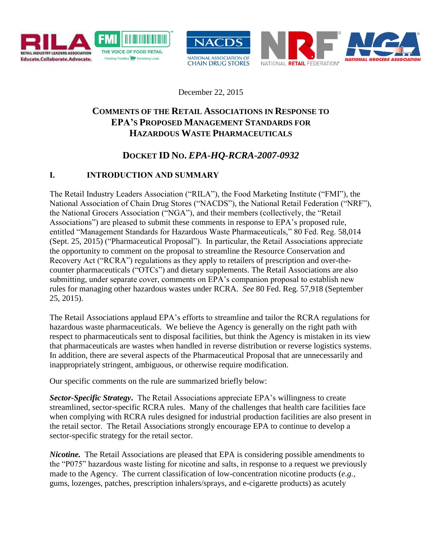



December 22, 2015

# **COMMENTS OF THE RETAIL ASSOCIATIONS IN RESPONSE TO EPA'S PROPOSED MANAGEMENT STANDARDS FOR HAZARDOUS WASTE PHARMACEUTICALS**

# **DOCKET ID NO.** *EPA-HQ-RCRA-2007-0932*

## **I. INTRODUCTION AND SUMMARY**

The Retail Industry Leaders Association ("RILA"), the Food Marketing Institute ("FMI"), the National Association of Chain Drug Stores ("NACDS"), the National Retail Federation ("NRF"), the National Grocers Association ("NGA"), and their members (collectively, the "Retail Associations") are pleased to submit these comments in response to EPA's proposed rule, entitled "Management Standards for Hazardous Waste Pharmaceuticals," 80 Fed. Reg. 58,014 (Sept. 25, 2015) ("Pharmaceutical Proposal"). In particular, the Retail Associations appreciate the opportunity to comment on the proposal to streamline the Resource Conservation and Recovery Act ("RCRA") regulations as they apply to retailers of prescription and over-thecounter pharmaceuticals ("OTCs") and dietary supplements. The Retail Associations are also submitting, under separate cover, comments on EPA's companion proposal to establish new rules for managing other hazardous wastes under RCRA. *See* 80 Fed. Reg. 57,918 (September 25, 2015).

The Retail Associations applaud EPA's efforts to streamline and tailor the RCRA regulations for hazardous waste pharmaceuticals. We believe the Agency is generally on the right path with respect to pharmaceuticals sent to disposal facilities, but think the Agency is mistaken in its view that pharmaceuticals are wastes when handled in reverse distribution or reverse logistics systems. In addition, there are several aspects of the Pharmaceutical Proposal that are unnecessarily and inappropriately stringent, ambiguous, or otherwise require modification.

Our specific comments on the rule are summarized briefly below:

*Sector-Specific Strategy***.** The Retail Associations appreciate EPA's willingness to create streamlined, sector-specific RCRA rules. Many of the challenges that health care facilities face when complying with RCRA rules designed for industrial production facilities are also present in the retail sector. The Retail Associations strongly encourage EPA to continue to develop a sector-specific strategy for the retail sector.

*Nicotine.* The Retail Associations are pleased that EPA is considering possible amendments to the "P075" hazardous waste listing for nicotine and salts, in response to a request we previously made to the Agency. The current classification of low-concentration nicotine products (*e.g.*, gums, lozenges, patches, prescription inhalers/sprays, and e-cigarette products) as acutely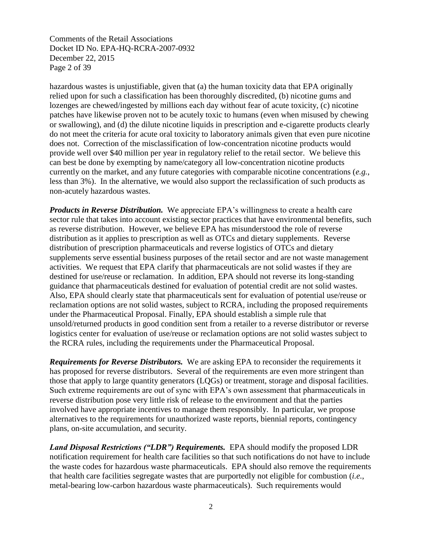Comments of the Retail Associations Docket ID No. EPA-HQ-RCRA-2007-0932 December 22, 2015 Page 2 of 39

hazardous wastes is unjustifiable, given that (a) the human toxicity data that EPA originally relied upon for such a classification has been thoroughly discredited, (b) nicotine gums and lozenges are chewed/ingested by millions each day without fear of acute toxicity, (c) nicotine patches have likewise proven not to be acutely toxic to humans (even when misused by chewing or swallowing), and (d) the dilute nicotine liquids in prescription and e-cigarette products clearly do not meet the criteria for acute oral toxicity to laboratory animals given that even pure nicotine does not. Correction of the misclassification of low-concentration nicotine products would provide well over \$40 million per year in regulatory relief to the retail sector. We believe this can best be done by exempting by name/category all low-concentration nicotine products currently on the market, and any future categories with comparable nicotine concentrations (*e.g.*, less than 3%). In the alternative, we would also support the reclassification of such products as non-acutely hazardous wastes.

*Products in Reverse Distribution.* We appreciate EPA's willingness to create a health care sector rule that takes into account existing sector practices that have environmental benefits, such as reverse distribution. However, we believe EPA has misunderstood the role of reverse distribution as it applies to prescription as well as OTCs and dietary supplements. Reverse distribution of prescription pharmaceuticals and reverse logistics of OTCs and dietary supplements serve essential business purposes of the retail sector and are not waste management activities. We request that EPA clarify that pharmaceuticals are not solid wastes if they are destined for use/reuse or reclamation. In addition, EPA should not reverse its long-standing guidance that pharmaceuticals destined for evaluation of potential credit are not solid wastes. Also, EPA should clearly state that pharmaceuticals sent for evaluation of potential use/reuse or reclamation options are not solid wastes, subject to RCRA, including the proposed requirements under the Pharmaceutical Proposal. Finally, EPA should establish a simple rule that unsold/returned products in good condition sent from a retailer to a reverse distributor or reverse logistics center for evaluation of use/reuse or reclamation options are not solid wastes subject to the RCRA rules, including the requirements under the Pharmaceutical Proposal.

*Requirements for Reverse Distributors.* We are asking EPA to reconsider the requirements it has proposed for reverse distributors. Several of the requirements are even more stringent than those that apply to large quantity generators (LQGs) or treatment, storage and disposal facilities. Such extreme requirements are out of sync with EPA's own assessment that pharmaceuticals in reverse distribution pose very little risk of release to the environment and that the parties involved have appropriate incentives to manage them responsibly. In particular, we propose alternatives to the requirements for unauthorized waste reports, biennial reports, contingency plans, on-site accumulation, and security.

*Land Disposal Restrictions ("LDR") Requirements.* EPA should modify the proposed LDR notification requirement for health care facilities so that such notifications do not have to include the waste codes for hazardous waste pharmaceuticals. EPA should also remove the requirements that health care facilities segregate wastes that are purportedly not eligible for combustion (*i.e.*, metal-bearing low-carbon hazardous waste pharmaceuticals). Such requirements would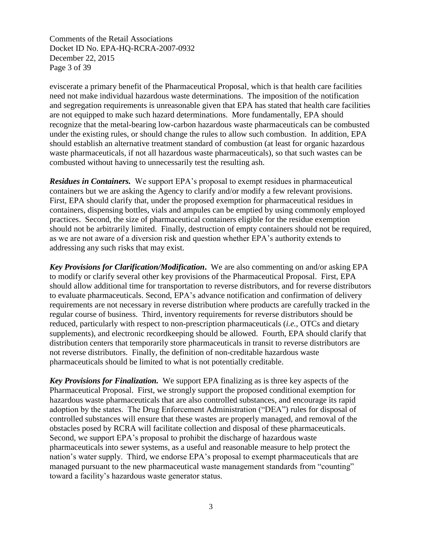Comments of the Retail Associations Docket ID No. EPA-HQ-RCRA-2007-0932 December 22, 2015 Page 3 of 39

eviscerate a primary benefit of the Pharmaceutical Proposal, which is that health care facilities need not make individual hazardous waste determinations. The imposition of the notification and segregation requirements is unreasonable given that EPA has stated that health care facilities are not equipped to make such hazard determinations. More fundamentally, EPA should recognize that the metal-bearing low-carbon hazardous waste pharmaceuticals can be combusted under the existing rules, or should change the rules to allow such combustion. In addition, EPA should establish an alternative treatment standard of combustion (at least for organic hazardous waste pharmaceuticals, if not all hazardous waste pharmaceuticals), so that such wastes can be combusted without having to unnecessarily test the resulting ash.

*Residues in Containers.* We support EPA's proposal to exempt residues in pharmaceutical containers but we are asking the Agency to clarify and/or modify a few relevant provisions. First, EPA should clarify that, under the proposed exemption for pharmaceutical residues in containers, dispensing bottles, vials and ampules can be emptied by using commonly employed practices. Second, the size of pharmaceutical containers eligible for the residue exemption should not be arbitrarily limited. Finally, destruction of empty containers should not be required, as we are not aware of a diversion risk and question whether EPA's authority extends to addressing any such risks that may exist.

*Key Provisions for Clarification/Modification***.** We are also commenting on and/or asking EPA to modify or clarify several other key provisions of the Pharmaceutical Proposal. First, EPA should allow additional time for transportation to reverse distributors, and for reverse distributors to evaluate pharmaceuticals. Second, EPA's advance notification and confirmation of delivery requirements are not necessary in reverse distribution where products are carefully tracked in the regular course of business. Third, inventory requirements for reverse distributors should be reduced, particularly with respect to non-prescription pharmaceuticals (*i.e.*, OTCs and dietary supplements), and electronic recordkeeping should be allowed. Fourth, EPA should clarify that distribution centers that temporarily store pharmaceuticals in transit to reverse distributors are not reverse distributors. Finally, the definition of non-creditable hazardous waste pharmaceuticals should be limited to what is not potentially creditable.

*Key Provisions for Finalization.* We support EPA finalizing as is three key aspects of the Pharmaceutical Proposal. First, we strongly support the proposed conditional exemption for hazardous waste pharmaceuticals that are also controlled substances, and encourage its rapid adoption by the states. The Drug Enforcement Administration ("DEA") rules for disposal of controlled substances will ensure that these wastes are properly managed, and removal of the obstacles posed by RCRA will facilitate collection and disposal of these pharmaceuticals. Second, we support EPA's proposal to prohibit the discharge of hazardous waste pharmaceuticals into sewer systems, as a useful and reasonable measure to help protect the nation's water supply. Third, we endorse EPA's proposal to exempt pharmaceuticals that are managed pursuant to the new pharmaceutical waste management standards from "counting" toward a facility's hazardous waste generator status.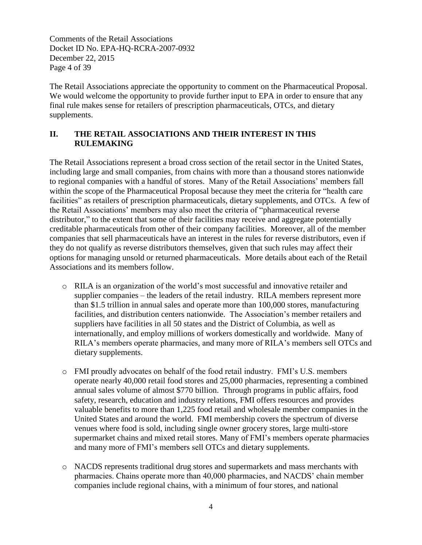Comments of the Retail Associations Docket ID No. EPA-HQ-RCRA-2007-0932 December 22, 2015 Page 4 of 39

The Retail Associations appreciate the opportunity to comment on the Pharmaceutical Proposal. We would welcome the opportunity to provide further input to EPA in order to ensure that any final rule makes sense for retailers of prescription pharmaceuticals, OTCs, and dietary supplements.

## **II. THE RETAIL ASSOCIATIONS AND THEIR INTEREST IN THIS RULEMAKING**

The Retail Associations represent a broad cross section of the retail sector in the United States, including large and small companies, from chains with more than a thousand stores nationwide to regional companies with a handful of stores. Many of the Retail Associations' members fall within the scope of the Pharmaceutical Proposal because they meet the criteria for "health care facilities" as retailers of prescription pharmaceuticals, dietary supplements, and OTCs. A few of the Retail Associations' members may also meet the criteria of "pharmaceutical reverse distributor," to the extent that some of their facilities may receive and aggregate potentially creditable pharmaceuticals from other of their company facilities. Moreover, all of the member companies that sell pharmaceuticals have an interest in the rules for reverse distributors, even if they do not qualify as reverse distributors themselves, given that such rules may affect their options for managing unsold or returned pharmaceuticals. More details about each of the Retail Associations and its members follow.

- o RILA is an organization of the world's most successful and innovative retailer and supplier companies – the leaders of the retail industry. RILA members represent more than \$1.5 trillion in annual sales and operate more than 100,000 stores, manufacturing facilities, and distribution centers nationwide. The Association's member retailers and suppliers have facilities in all 50 states and the District of Columbia, as well as internationally, and employ millions of workers domestically and worldwide. Many of RILA's members operate pharmacies, and many more of RILA's members sell OTCs and dietary supplements.
- o FMI proudly advocates on behalf of the food retail industry. FMI's U.S. members operate nearly 40,000 retail food stores and 25,000 pharmacies, representing a combined annual sales volume of almost \$770 billion. Through programs in public affairs, food safety, research, education and industry relations, FMI offers resources and provides valuable benefits to more than 1,225 food retail and wholesale member companies in the United States and around the world. FMI membership covers the spectrum of diverse venues where food is sold, including single owner grocery stores, large multi-store supermarket chains and mixed retail stores. Many of FMI's members operate pharmacies and many more of FMI's members sell OTCs and dietary supplements.
- o NACDS represents traditional drug stores and supermarkets and mass merchants with pharmacies. Chains operate more than 40,000 pharmacies, and NACDS' chain member companies include regional chains, with a minimum of four stores, and national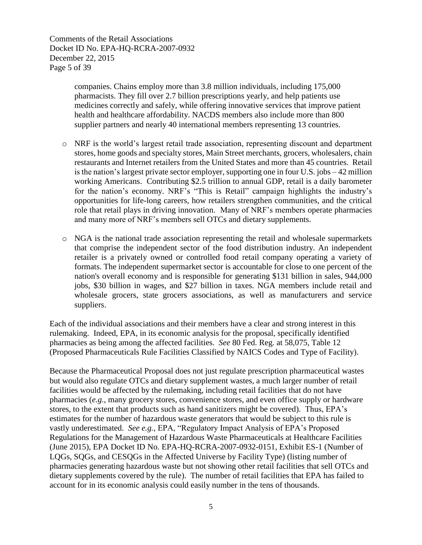Comments of the Retail Associations Docket ID No. EPA-HQ-RCRA-2007-0932 December 22, 2015 Page 5 of 39

> companies. Chains employ more than 3.8 million individuals, including 175,000 pharmacists. They fill over 2.7 billion prescriptions yearly, and help patients use medicines correctly and safely, while offering innovative services that improve patient health and healthcare affordability. NACDS members also include more than 800 supplier partners and nearly 40 international members representing 13 countries.

- o NRF is the world's largest retail trade association, representing discount and department stores, home goods and specialty stores, Main Street merchants, grocers, wholesalers, chain restaurants and Internet retailers from the United States and more than 45 countries. Retail is the nation's largest private sector employer, supporting one in four U.S. jobs – 42 million working Americans. Contributing \$2.5 trillion to annual GDP, retail is a daily barometer for the nation's economy. NRF's "This is Retail" campaign highlights the industry's opportunities for life-long careers, how retailers strengthen communities, and the critical role that retail plays in driving innovation. Many of NRF's members operate pharmacies and many more of NRF's members sell OTCs and dietary supplements.
- o NGA is the national trade association representing the retail and wholesale supermarkets that comprise the independent sector of the food distribution industry. An independent retailer is a privately owned or controlled food retail company operating a variety of formats. The independent supermarket sector is accountable for close to one percent of the nation's overall economy and is responsible for generating \$131 billion in sales, 944,000 jobs, \$30 billion in wages, and \$27 billion in taxes. NGA members include retail and wholesale grocers, state grocers associations, as well as manufacturers and service suppliers.

Each of the individual associations and their members have a clear and strong interest in this rulemaking. Indeed, EPA, in its economic analysis for the proposal, specifically identified pharmacies as being among the affected facilities. *See* 80 Fed. Reg. at 58,075, Table 12 (Proposed Pharmaceuticals Rule Facilities Classified by NAICS Codes and Type of Facility).

Because the Pharmaceutical Proposal does not just regulate prescription pharmaceutical wastes but would also regulate OTCs and dietary supplement wastes, a much larger number of retail facilities would be affected by the rulemaking, including retail facilities that do not have pharmacies (*e.g.*, many grocery stores, convenience stores, and even office supply or hardware stores, to the extent that products such as hand sanitizers might be covered). Thus, EPA's estimates for the number of hazardous waste generators that would be subject to this rule is vastly underestimated. *See e.g.,* EPA, "Regulatory Impact Analysis of EPA's Proposed Regulations for the Management of Hazardous Waste Pharmaceuticals at Healthcare Facilities (June 2015), EPA Docket ID No. EPA-HQ-RCRA-2007-0932-0151, Exhibit ES-1 (Number of LQGs, SQGs, and CESQGs in the Affected Universe by Facility Type) (listing number of pharmacies generating hazardous waste but not showing other retail facilities that sell OTCs and dietary supplements covered by the rule). The number of retail facilities that EPA has failed to account for in its economic analysis could easily number in the tens of thousands.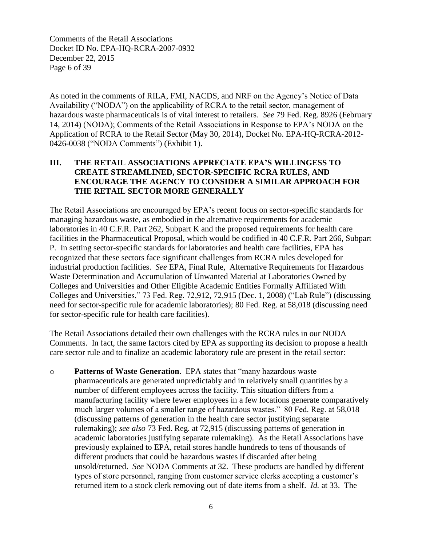Comments of the Retail Associations Docket ID No. EPA-HQ-RCRA-2007-0932 December 22, 2015 Page 6 of 39

As noted in the comments of RILA, FMI, NACDS, and NRF on the Agency's Notice of Data Availability ("NODA") on the applicability of RCRA to the retail sector, management of hazardous waste pharmaceuticals is of vital interest to retailers. *See* 79 Fed. Reg. 8926 (February 14, 2014) (NODA); Comments of the Retail Associations in Response to EPA's NODA on the Application of RCRA to the Retail Sector (May 30, 2014), Docket No. EPA-HQ-RCRA-2012- 0426-0038 ("NODA Comments") (Exhibit 1).

## **III. THE RETAIL ASSOCIATIONS APPRECIATE EPA'S WILLINGESS TO CREATE STREAMLINED, SECTOR-SPECIFIC RCRA RULES, AND ENCOURAGE THE AGENCY TO CONSIDER A SIMILAR APPROACH FOR THE RETAIL SECTOR MORE GENERALLY**

The Retail Associations are encouraged by EPA's recent focus on sector-specific standards for managing hazardous waste, as embodied in the alternative requirements for academic laboratories in 40 C.F.R. Part 262, Subpart K and the proposed requirements for health care facilities in the Pharmaceutical Proposal, which would be codified in 40 C.F.R. Part 266, Subpart P. In setting sector-specific standards for laboratories and health care facilities, EPA has recognized that these sectors face significant challenges from RCRA rules developed for industrial production facilities. *See* EPA, Final Rule, Alternative Requirements for Hazardous Waste Determination and Accumulation of Unwanted Material at Laboratories Owned by Colleges and Universities and Other Eligible Academic Entities Formally Affiliated With Colleges and Universities," 73 Fed. Reg. 72,912, 72,915 (Dec. 1, 2008) ("Lab Rule") (discussing need for sector-specific rule for academic laboratories); 80 Fed. Reg. at 58,018 (discussing need for sector-specific rule for health care facilities)*.*

The Retail Associations detailed their own challenges with the RCRA rules in our NODA Comments. In fact, the same factors cited by EPA as supporting its decision to propose a health care sector rule and to finalize an academic laboratory rule are present in the retail sector:

o **Patterns of Waste Generation**. EPA states that "many hazardous waste pharmaceuticals are generated unpredictably and in relatively small quantities by a number of different employees across the facility. This situation differs from a manufacturing facility where fewer employees in a few locations generate comparatively much larger volumes of a smaller range of hazardous wastes." 80 Fed. Reg. at 58,018 (discussing patterns of generation in the health care sector justifying separate rulemaking); *see also* 73 Fed. Reg. at 72,915 (discussing patterns of generation in academic laboratories justifying separate rulemaking).As the Retail Associations have previously explained to EPA, retail stores handle hundreds to tens of thousands of different products that could be hazardous wastes if discarded after being unsold/returned. *See* NODA Comments at 32. These products are handled by different types of store personnel, ranging from customer service clerks accepting a customer's returned item to a stock clerk removing out of date items from a shelf. *Id.* at 33. The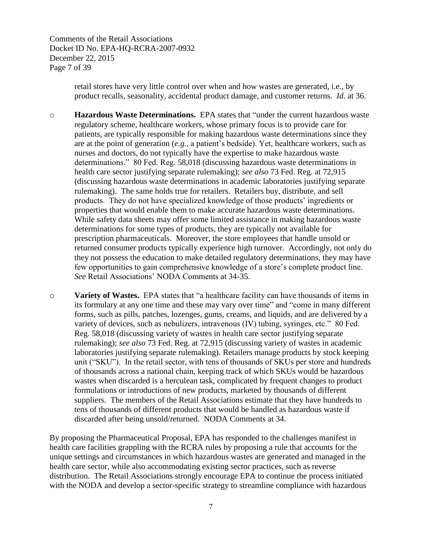Comments of the Retail Associations Docket ID No. EPA-HQ-RCRA-2007-0932 December 22, 2015 Page 7 of 39

> retail stores have very little control over when and how wastes are generated, i.e., by product recalls, seasonality, accidental product damage, and customer returns. *Id.* at 36.

o **Hazardous Waste Determinations.** EPA states that "under the current hazardous waste regulatory scheme, healthcare workers, whose primary focus is to provide care for patients, are typically responsible for making hazardous waste determinations since they are at the point of generation (*e.g.,* a patient's bedside). Yet, healthcare workers, such as nurses and doctors, do not typically have the expertise to make hazardous waste determinations." 80 Fed. Reg. 58,018 (discussing hazardous waste determinations in health care sector justifying separate rulemaking); *see also* 73 Fed. Reg. at 72,915 (discussing hazardous waste determinations in academic laboratories justifying separate rulemaking).The same holds true for retailers. Retailers buy, distribute, and sell products. They do not have specialized knowledge of those products' ingredients or properties that would enable them to make accurate hazardous waste determinations. While safety data sheets may offer some limited assistance in making hazardous waste determinations for some types of products, they are typically not available for prescription pharmaceuticals. Moreover, the store employees that handle unsold or returned consumer products typically experience high turnover. Accordingly, not only do they not possess the education to make detailed regulatory determinations, they may have few opportunities to gain comprehensive knowledge of a store's complete product line. *See* Retail Associations' NODA Comments at 34-35.

o **Variety of Wastes.** EPA states that "a healthcare facility can have thousands of items in its formulary at any one time and these may vary over time" and "come in many different forms, such as pills, patches, lozenges, gums, creams, and liquids, and are delivered by a variety of devices, such as nebulizers, intravenous (IV) tubing, syringes, etc." 80 Fed. Reg. 58,018 (discussing variety of wastes in health care sector justifying separate rulemaking); *see also* 73 Fed. Reg. at 72,915 (discussing variety of wastes in academic laboratories justifying separate rulemaking). Retailers manage products by stock keeping unit ("SKU"). In the retail sector, with tens of thousands of SKUs per store and hundreds of thousands across a national chain, keeping track of which SKUs would be hazardous wastes when discarded is a herculean task, complicated by frequent changes to product formulations or introductions of new products, marketed by thousands of different suppliers. The members of the Retail Associations estimate that they have hundreds to tens of thousands of different products that would be handled as hazardous waste if discarded after being unsold/returned. NODA Comments at 34.

By proposing the Pharmaceutical Proposal, EPA has responded to the challenges manifest in health care facilities grappling with the RCRA rules by proposing a rule that accounts for the unique settings and circumstances in which hazardous wastes are generated and managed in the health care sector, while also accommodating existing sector practices, such as reverse distribution. The Retail Associations strongly encourage EPA to continue the process initiated with the NODA and develop a sector-specific strategy to streamline compliance with hazardous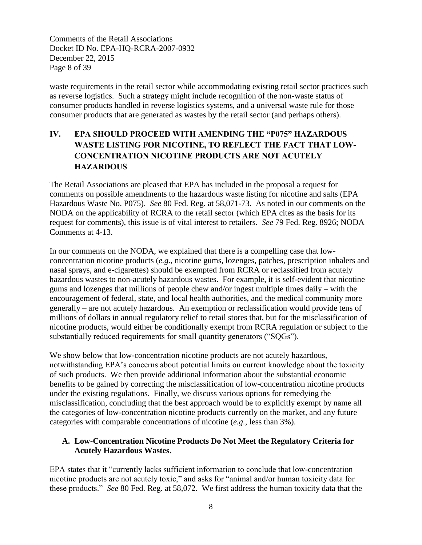Comments of the Retail Associations Docket ID No. EPA-HQ-RCRA-2007-0932 December 22, 2015 Page 8 of 39

waste requirements in the retail sector while accommodating existing retail sector practices such as reverse logistics. Such a strategy might include recognition of the non-waste status of consumer products handled in reverse logistics systems, and a universal waste rule for those consumer products that are generated as wastes by the retail sector (and perhaps others).

## **IV. EPA SHOULD PROCEED WITH AMENDING THE "P075" HAZARDOUS WASTE LISTING FOR NICOTINE, TO REFLECT THE FACT THAT LOW-CONCENTRATION NICOTINE PRODUCTS ARE NOT ACUTELY HAZARDOUS**

The Retail Associations are pleased that EPA has included in the proposal a request for comments on possible amendments to the hazardous waste listing for nicotine and salts (EPA Hazardous Waste No. P075). *See* 80 Fed. Reg. at 58,071-73. As noted in our comments on the NODA on the applicability of RCRA to the retail sector (which EPA cites as the basis for its request for comments), this issue is of vital interest to retailers. *See* 79 Fed. Reg. 8926; NODA Comments at 4-13.

In our comments on the NODA, we explained that there is a compelling case that lowconcentration nicotine products (*e.g.*, nicotine gums, lozenges, patches, prescription inhalers and nasal sprays, and e-cigarettes) should be exempted from RCRA or reclassified from acutely hazardous wastes to non-acutely hazardous wastes. For example, it is self-evident that nicotine gums and lozenges that millions of people chew and/or ingest multiple times daily – with the encouragement of federal, state, and local health authorities, and the medical community more generally – are not acutely hazardous. An exemption or reclassification would provide tens of millions of dollars in annual regulatory relief to retail stores that, but for the misclassification of nicotine products, would either be conditionally exempt from RCRA regulation or subject to the substantially reduced requirements for small quantity generators ("SQGs").

We show below that low-concentration nicotine products are not acutely hazardous, notwithstanding EPA's concerns about potential limits on current knowledge about the toxicity of such products. We then provide additional information about the substantial economic benefits to be gained by correcting the misclassification of low-concentration nicotine products under the existing regulations. Finally, we discuss various options for remedying the misclassification, concluding that the best approach would be to explicitly exempt by name all the categories of low-concentration nicotine products currently on the market, and any future categories with comparable concentrations of nicotine (*e.g.*, less than 3%).

#### **A. Low-Concentration Nicotine Products Do Not Meet the Regulatory Criteria for Acutely Hazardous Wastes.**

EPA states that it "currently lacks sufficient information to conclude that low-concentration nicotine products are not acutely toxic," and asks for "animal and/or human toxicity data for these products." *See* 80 Fed. Reg. at 58,072. We first address the human toxicity data that the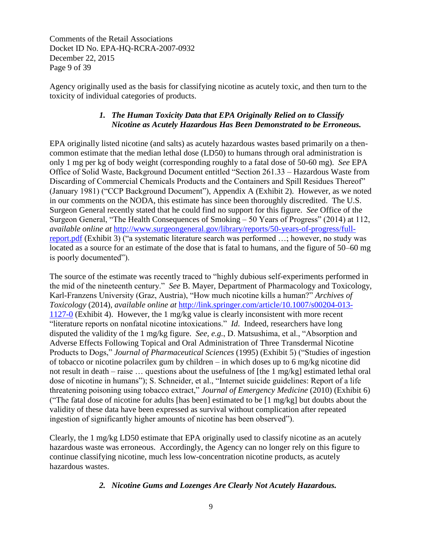Comments of the Retail Associations Docket ID No. EPA-HQ-RCRA-2007-0932 December 22, 2015 Page 9 of 39

Agency originally used as the basis for classifying nicotine as acutely toxic, and then turn to the toxicity of individual categories of products.

## *1. The Human Toxicity Data that EPA Originally Relied on to Classify Nicotine as Acutely Hazardous Has Been Demonstrated to be Erroneous.*

EPA originally listed nicotine (and salts) as acutely hazardous wastes based primarily on a thencommon estimate that the median lethal dose (LD50) to humans through oral administration is only 1 mg per kg of body weight (corresponding roughly to a fatal dose of 50-60 mg). *See* EPA Office of Solid Waste, Background Document entitled "Section 261.33 – Hazardous Waste from Discarding of Commercial Chemicals Products and the Containers and Spill Residues Thereof" (January 1981) ("CCP Background Document"), Appendix A (Exhibit 2). However, as we noted in our comments on the NODA, this estimate has since been thoroughly discredited. The U.S. Surgeon General recently stated that he could find no support for this figure. *See* Office of the Surgeon General, "The Health Consequences of Smoking – 50 Years of Progress" (2014) at 112, *available online at* [http://www.surgeongeneral.gov/library/reports/50-years-of-progress/full](http://www.surgeongeneral.gov/library/reports/50-years-of-progress/full-report.pdf)[report.pdf](http://www.surgeongeneral.gov/library/reports/50-years-of-progress/full-report.pdf) (Exhibit 3) ("a systematic literature search was performed …; however, no study was located as a source for an estimate of the dose that is fatal to humans, and the figure of 50–60 mg is poorly documented").

The source of the estimate was recently traced to "highly dubious self-experiments performed in the mid of the nineteenth century." *See* B. Mayer, Department of Pharmacology and Toxicology, Karl-Franzens University (Graz, Austria), "How much nicotine kills a human?" *Archives of Toxicology* (2014), *available online at* [http://link.springer.com/article/10.1007/s00204-013-](http://link.springer.com/article/10.1007/s00204-013-1127-0) [1127-0](http://link.springer.com/article/10.1007/s00204-013-1127-0) (Exhibit 4). However, the 1 mg/kg value is clearly inconsistent with more recent "literature reports on nonfatal nicotine intoxications." *Id*. Indeed, researchers have long disputed the validity of the 1 mg/kg figure. *See, e.g.*, D. Matsushima, et al., "Absorption and Adverse Effects Following Topical and Oral Administration of Three Transdermal Nicotine Products to Dogs," *Journal of Pharmaceutical Sciences* (1995) (Exhibit 5) ("Studies of ingestion of tobacco or nicotine polacrilex gum by children – in which doses up to 6 mg/kg nicotine did not result in death – raise … questions about the usefulness of [the 1 mg/kg] estimated lethal oral dose of nicotine in humans"); S. Schneider, et al., "Internet suicide guidelines: Report of a life threatening poisoning using tobacco extract," *Journal of Emergency Medicine* (2010) (Exhibit 6) ("The fatal dose of nicotine for adults [has been] estimated to be [1 mg/kg] but doubts about the validity of these data have been expressed as survival without complication after repeated ingestion of significantly higher amounts of nicotine has been observed").

Clearly, the 1 mg/kg LD50 estimate that EPA originally used to classify nicotine as an acutely hazardous waste was erroneous. Accordingly, the Agency can no longer rely on this figure to continue classifying nicotine, much less low-concentration nicotine products, as acutely hazardous wastes.

## *2. Nicotine Gums and Lozenges Are Clearly Not Acutely Hazardous.*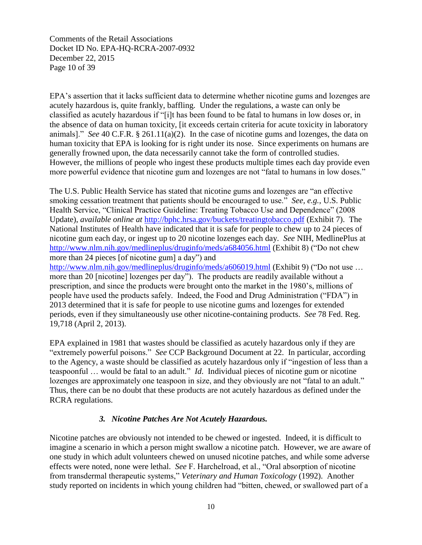Comments of the Retail Associations Docket ID No. EPA-HQ-RCRA-2007-0932 December 22, 2015 Page 10 of 39

EPA's assertion that it lacks sufficient data to determine whether nicotine gums and lozenges are acutely hazardous is, quite frankly, baffling. Under the regulations, a waste can only be classified as acutely hazardous if "[i]t has been found to be fatal to humans in low doses or, in the absence of data on human toxicity, [it exceeds certain criteria for acute toxicity in laboratory animals]." *See* 40 C.F.R. § 261.11(a)(2). In the case of nicotine gums and lozenges, the data on human toxicity that EPA is looking for is right under its nose. Since experiments on humans are generally frowned upon, the data necessarily cannot take the form of controlled studies. However, the millions of people who ingest these products multiple times each day provide even more powerful evidence that nicotine gum and lozenges are not "fatal to humans in low doses."

The U.S. Public Health Service has stated that nicotine gums and lozenges are "an effective smoking cessation treatment that patients should be encouraged to use." *See, e.g.*, U.S. Public Health Service, "Clinical Practice Guideline: Treating Tobacco Use and Dependence" (2008 Update), *available online at* <http://bphc.hrsa.gov/buckets/treatingtobacco.pdf> (Exhibit 7). The National Institutes of Health have indicated that it is safe for people to chew up to 24 pieces of nicotine gum each day, or ingest up to 20 nicotine lozenges each day. *See* NIH, MedlinePlus at <http://www.nlm.nih.gov/medlineplus/druginfo/meds/a684056.html> (Exhibit 8) ("Do not chew more than 24 pieces [of nicotine gum] a day") and <http://www.nlm.nih.gov/medlineplus/druginfo/meds/a606019.html> (Exhibit 9) ("Do not use ... more than 20 [nicotine] lozenges per day"). The products are readily available without a

prescription, and since the products were brought onto the market in the 1980's, millions of people have used the products safely. Indeed, the Food and Drug Administration ("FDA") in 2013 determined that it is safe for people to use nicotine gums and lozenges for extended periods, even if they simultaneously use other nicotine-containing products. *See* 78 Fed. Reg. 19,718 (April 2, 2013).

EPA explained in 1981 that wastes should be classified as acutely hazardous only if they are "extremely powerful poisons." *See* CCP Background Document at 22. In particular, according to the Agency, a waste should be classified as acutely hazardous only if "ingestion of less than a teaspoonful … would be fatal to an adult." *Id*. Individual pieces of nicotine gum or nicotine lozenges are approximately one teaspoon in size, and they obviously are not "fatal to an adult." Thus, there can be no doubt that these products are not acutely hazardous as defined under the RCRA regulations.

#### *3. Nicotine Patches Are Not Acutely Hazardous.*

Nicotine patches are obviously not intended to be chewed or ingested. Indeed, it is difficult to imagine a scenario in which a person might swallow a nicotine patch. However, we are aware of one study in which adult volunteers chewed on unused nicotine patches, and while some adverse effects were noted, none were lethal. *See* F. Harchelroad, et al., "Oral absorption of nicotine from transdermal therapeutic systems," *Veterinary and Human Toxicology* (1992). Another study reported on incidents in which young children had "bitten, chewed, or swallowed part of a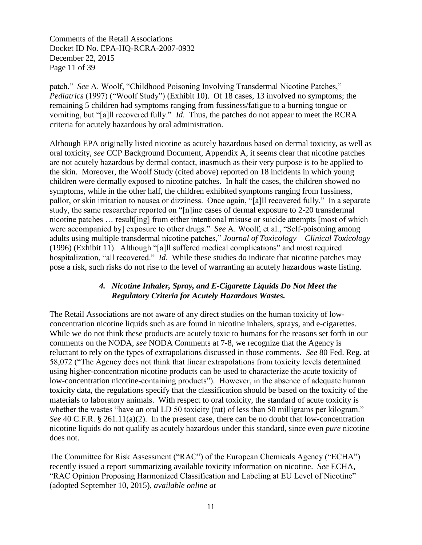Comments of the Retail Associations Docket ID No. EPA-HQ-RCRA-2007-0932 December 22, 2015 Page 11 of 39

patch." *See* A. Woolf, "Childhood Poisoning Involving Transdermal Nicotine Patches," *Pediatrics* (1997) ("Woolf Study") (Exhibit 10). Of 18 cases, 13 involved no symptoms; the remaining 5 children had symptoms ranging from fussiness/fatigue to a burning tongue or vomiting, but "[a]ll recovered fully." *Id*. Thus, the patches do not appear to meet the RCRA criteria for acutely hazardous by oral administration.

Although EPA originally listed nicotine as acutely hazardous based on dermal toxicity, as well as oral toxicity, *see* CCP Background Document, Appendix A, it seems clear that nicotine patches are not acutely hazardous by dermal contact, inasmuch as their very purpose is to be applied to the skin. Moreover, the Woolf Study (cited above) reported on 18 incidents in which young children were dermally exposed to nicotine patches. In half the cases, the children showed no symptoms, while in the other half, the children exhibited symptoms ranging from fussiness, pallor, or skin irritation to nausea or dizziness. Once again, "[a]ll recovered fully." In a separate study, the same researcher reported on "[n]ine cases of dermal exposure to 2-20 transdermal nicotine patches … result[ing] from either intentional misuse or suicide attempts [most of which were accompanied by] exposure to other drugs." *See* A. Woolf, et al., "Self-poisoning among adults using multiple transdermal nicotine patches," *Journal of Toxicology – Clinical Toxicology*  (1996) (Exhibit 11). Although "[a]ll suffered medical complications" and most required hospitalization, "all recovered." *Id*. While these studies do indicate that nicotine patches may pose a risk, such risks do not rise to the level of warranting an acutely hazardous waste listing.

#### *4. Nicotine Inhaler, Spray, and E-Cigarette Liquids Do Not Meet the Regulatory Criteria for Acutely Hazardous Wastes.*

The Retail Associations are not aware of any direct studies on the human toxicity of lowconcentration nicotine liquids such as are found in nicotine inhalers, sprays, and e-cigarettes. While we do not think these products are acutely toxic to humans for the reasons set forth in our comments on the NODA, *see* NODA Comments at 7-8, we recognize that the Agency is reluctant to rely on the types of extrapolations discussed in those comments. *See* 80 Fed. Reg. at 58,072 ("The Agency does not think that linear extrapolations from toxicity levels determined using higher-concentration nicotine products can be used to characterize the acute toxicity of low-concentration nicotine-containing products"). However, in the absence of adequate human toxicity data, the regulations specify that the classification should be based on the toxicity of the materials to laboratory animals. With respect to oral toxicity, the standard of acute toxicity is whether the wastes "have an oral LD 50 toxicity (rat) of less than 50 milligrams per kilogram." *See* 40 C.F.R. § 261.11(a)(2). In the present case, there can be no doubt that low-concentration nicotine liquids do not qualify as acutely hazardous under this standard, since even *pure* nicotine does not.

The Committee for Risk Assessment ("RAC") of the European Chemicals Agency ("ECHA") recently issued a report summarizing available toxicity information on nicotine. *See* ECHA, "RAC Opinion Proposing Harmonized Classification and Labeling at EU Level of Nicotine" (adopted September 10, 2015), *available online at*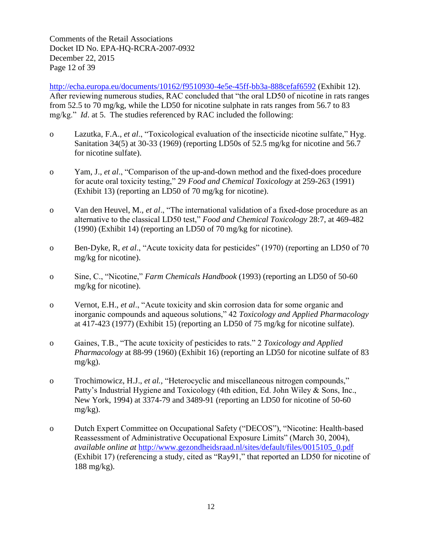Comments of the Retail Associations Docket ID No. EPA-HQ-RCRA-2007-0932 December 22, 2015 Page 12 of 39

<http://echa.europa.eu/documents/10162/f9510930-4e5e-45ff-bb3a-888cefaf6592> (Exhibit 12). After reviewing numerous studies, RAC concluded that "the oral LD50 of nicotine in rats ranges from 52.5 to 70 mg/kg, while the LD50 for nicotine sulphate in rats ranges from 56.7 to 83 mg/kg." *Id*. at 5. The studies referenced by RAC included the following:

- o Lazutka, F.A., *et al*., "Toxicological evaluation of the insecticide nicotine sulfate," Hyg. Sanitation 34(5) at 30-33 (1969) (reporting LD50s of 52.5 mg/kg for nicotine and 56.7 for nicotine sulfate).
- o Yam, J., *et al*., "Comparison of the up-and-down method and the fixed-does procedure for acute oral toxicity testing," 29 *Food and Chemical Toxicology* at 259-263 (1991) (Exhibit 13) (reporting an LD50 of 70 mg/kg for nicotine).
- o Van den Heuvel, M., *et al*., "The international validation of a fixed-dose procedure as an alternative to the classical LD50 test," *Food and Chemical Toxicology* 28:7, at 469-482 (1990) (Exhibit 14) (reporting an LD50 of 70 mg/kg for nicotine).
- o Ben-Dyke, R, *et al*., "Acute toxicity data for pesticides" (1970) (reporting an LD50 of 70 mg/kg for nicotine).
- o Sine, C., "Nicotine," *Farm Chemicals Handbook* (1993) (reporting an LD50 of 50-60 mg/kg for nicotine).
- o Vernot, E.H., *et al*., "Acute toxicity and skin corrosion data for some organic and inorganic compounds and aqueous solutions," 42 *Toxicology and Applied Pharmacology* at 417-423 (1977) (Exhibit 15) (reporting an LD50 of 75 mg/kg for nicotine sulfate).
- o Gaines, T.B., "The acute toxicity of pesticides to rats." 2 *Toxicology and Applied Pharmacology* at 88-99 (1960) (Exhibit 16) (reporting an LD50 for nicotine sulfate of 83 mg/kg).
- o Trochimowicz, H.J., *et al.,* "Heterocyclic and miscellaneous nitrogen compounds," Patty's Industrial Hygiene and Toxicology (4th edition, Ed. John Wiley & Sons, Inc., New York, 1994) at 3374-79 and 3489-91 (reporting an LD50 for nicotine of 50-60 mg/kg).
- o Dutch Expert Committee on Occupational Safety ("DECOS"), "Nicotine: Health-based Reassessment of Administrative Occupational Exposure Limits" (March 30, 2004), *available online at* [http://www.gezondheidsraad.nl/sites/default/files/0015105\\_0.pdf](http://www.gezondheidsraad.nl/sites/default/files/0015105_0.pdf) (Exhibit 17) (referencing a study, cited as "Ray91," that reported an LD50 for nicotine of 188 mg/kg).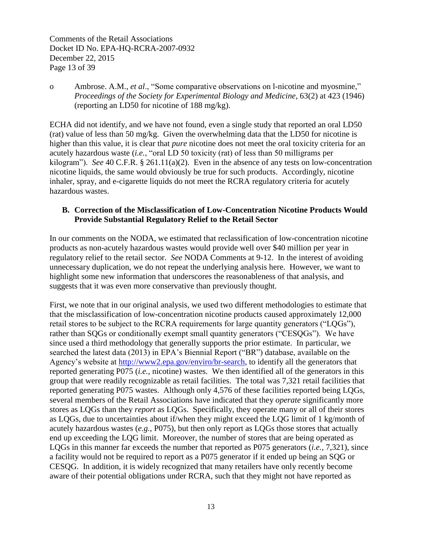Comments of the Retail Associations Docket ID No. EPA-HQ-RCRA-2007-0932 December 22, 2015 Page 13 of 39

o Ambrose. A.M., *et al*., "Some comparative observations on l-nicotine and myosmine," *Proceedings of the Society for Experimental Biology and Medicine*, 63(2) at 423 (1946) (reporting an LD50 for nicotine of 188 mg/kg).

ECHA did not identify, and we have not found, even a single study that reported an oral LD50 (rat) value of less than 50 mg/kg. Given the overwhelming data that the LD50 for nicotine is higher than this value, it is clear that *pure* nicotine does not meet the oral toxicity criteria for an acutely hazardous waste (*i.e.*, "oral LD 50 toxicity (rat) of less than 50 milligrams per kilogram"). *See* 40 C.F.R. § 261.11(a)(2). Even in the absence of any tests on low-concentration nicotine liquids, the same would obviously be true for such products. Accordingly, nicotine inhaler, spray, and e-cigarette liquids do not meet the RCRA regulatory criteria for acutely hazardous wastes.

## **B. Correction of the Misclassification of Low-Concentration Nicotine Products Would Provide Substantial Regulatory Relief to the Retail Sector**

In our comments on the NODA, we estimated that reclassification of low-concentration nicotine products as non-acutely hazardous wastes would provide well over \$40 million per year in regulatory relief to the retail sector. *See* NODA Comments at 9-12. In the interest of avoiding unnecessary duplication, we do not repeat the underlying analysis here. However, we want to highlight some new information that underscores the reasonableness of that analysis, and suggests that it was even more conservative than previously thought.

First, we note that in our original analysis, we used two different methodologies to estimate that that the misclassification of low-concentration nicotine products caused approximately 12,000 retail stores to be subject to the RCRA requirements for large quantity generators ("LQGs"), rather than SQGs or conditionally exempt small quantity generators ("CESQGs"). We have since used a third methodology that generally supports the prior estimate. In particular, we searched the latest data (2013) in EPA's Biennial Report ("BR") database, available on the Agency's website at [http://www2.epa.gov/enviro/br-search,](http://www2.epa.gov/enviro/br-search) to identify all the generators that reported generating P075 (*i.e.*, nicotine) wastes. We then identified all of the generators in this group that were readily recognizable as retail facilities. The total was 7,321 retail facilities that reported generating P075 wastes. Although only 4,576 of these facilities reported being LQGs, several members of the Retail Associations have indicated that they *operate* significantly more stores as LQGs than they *report* as LQGs. Specifically, they operate many or all of their stores as LQGs, due to uncertainties about if/when they might exceed the LQG limit of 1 kg/month of acutely hazardous wastes (*e.g.*, P075), but then only report as LQGs those stores that actually end up exceeding the LQG limit. Moreover, the number of stores that are being operated as LQGs in this manner far exceeds the number that reported as P075 generators (*i.e.,* 7,321), since a facility would not be required to report as a P075 generator if it ended up being an SQG or CESQG. In addition, it is widely recognized that many retailers have only recently become aware of their potential obligations under RCRA, such that they might not have reported as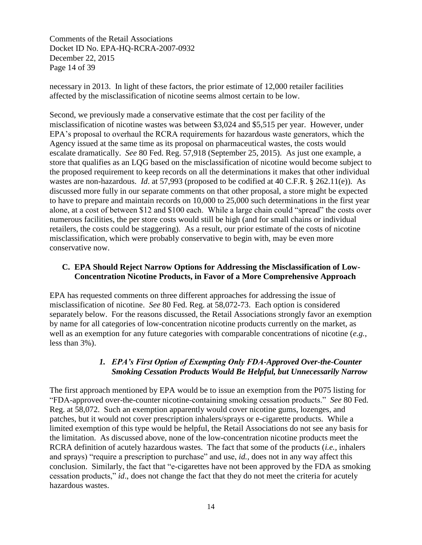Comments of the Retail Associations Docket ID No. EPA-HQ-RCRA-2007-0932 December 22, 2015 Page 14 of 39

necessary in 2013. In light of these factors, the prior estimate of 12,000 retailer facilities affected by the misclassification of nicotine seems almost certain to be low.

Second, we previously made a conservative estimate that the cost per facility of the misclassification of nicotine wastes was between \$3,024 and \$5,515 per year. However, under EPA's proposal to overhaul the RCRA requirements for hazardous waste generators, which the Agency issued at the same time as its proposal on pharmaceutical wastes, the costs would escalate dramatically. *See* 80 Fed. Reg. 57,918 (September 25, 2015). As just one example, a store that qualifies as an LQG based on the misclassification of nicotine would become subject to the proposed requirement to keep records on all the determinations it makes that other individual wastes are non-hazardous. *Id*. at 57,993 (proposed to be codified at 40 C.F.R. § 262.11(e)). As discussed more fully in our separate comments on that other proposal, a store might be expected to have to prepare and maintain records on 10,000 to 25,000 such determinations in the first year alone, at a cost of between \$12 and \$100 each. While a large chain could "spread" the costs over numerous facilities, the per store costs would still be high (and for small chains or individual retailers, the costs could be staggering). As a result, our prior estimate of the costs of nicotine misclassification, which were probably conservative to begin with, may be even more conservative now.

#### **C. EPA Should Reject Narrow Options for Addressing the Misclassification of Low-Concentration Nicotine Products, in Favor of a More Comprehensive Approach**

EPA has requested comments on three different approaches for addressing the issue of misclassification of nicotine. *See* 80 Fed. Reg. at 58,072-73. Each option is considered separately below. For the reasons discussed, the Retail Associations strongly favor an exemption by name for all categories of low-concentration nicotine products currently on the market, as well as an exemption for any future categories with comparable concentrations of nicotine (*e.g.*, less than 3%).

## *1. EPA's First Option of Exempting Only FDA-Approved Over-the-Counter Smoking Cessation Products Would Be Helpful, but Unnecessarily Narrow*

The first approach mentioned by EPA would be to issue an exemption from the P075 listing for "FDA-approved over-the-counter nicotine-containing smoking cessation products." *See* 80 Fed. Reg. at 58,072. Such an exemption apparently would cover nicotine gums, lozenges, and patches, but it would not cover prescription inhalers/sprays or e-cigarette products. While a limited exemption of this type would be helpful, the Retail Associations do not see any basis for the limitation. As discussed above, none of the low-concentration nicotine products meet the RCRA definition of acutely hazardous wastes. The fact that some of the products (*i.e.*, inhalers and sprays) "require a prescription to purchase" and use, *id.,* does not in any way affect this conclusion. Similarly, the fact that "e-cigarettes have not been approved by the FDA as smoking cessation products," *id*., does not change the fact that they do not meet the criteria for acutely hazardous wastes.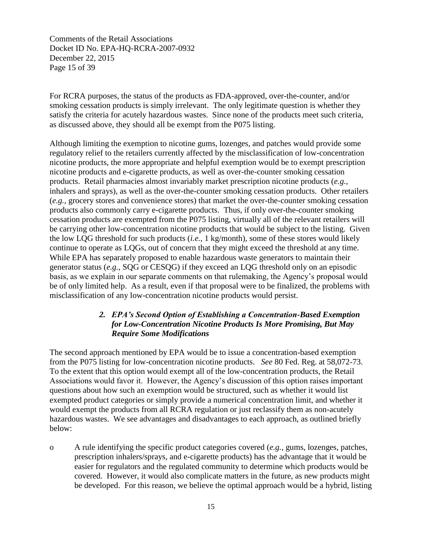Comments of the Retail Associations Docket ID No. EPA-HQ-RCRA-2007-0932 December 22, 2015 Page 15 of 39

For RCRA purposes, the status of the products as FDA-approved, over-the-counter, and/or smoking cessation products is simply irrelevant. The only legitimate question is whether they satisfy the criteria for acutely hazardous wastes. Since none of the products meet such criteria, as discussed above, they should all be exempt from the P075 listing.

Although limiting the exemption to nicotine gums, lozenges, and patches would provide some regulatory relief to the retailers currently affected by the misclassification of low-concentration nicotine products, the more appropriate and helpful exemption would be to exempt prescription nicotine products and e-cigarette products, as well as over-the-counter smoking cessation products. Retail pharmacies almost invariably market prescription nicotine products (*e.g.*, inhalers and sprays), as well as the over-the-counter smoking cessation products. Other retailers (*e.g.*, grocery stores and convenience stores) that market the over-the-counter smoking cessation products also commonly carry e-cigarette products. Thus, if only over-the-counter smoking cessation products are exempted from the P075 listing, virtually all of the relevant retailers will be carrying other low-concentration nicotine products that would be subject to the listing. Given the low LQG threshold for such products (*i.e.*, 1 kg/month), some of these stores would likely continue to operate as LQGs, out of concern that they might exceed the threshold at any time. While EPA has separately proposed to enable hazardous waste generators to maintain their generator status (*e.g.*, SQG or CESQG) if they exceed an LQG threshold only on an episodic basis, as we explain in our separate comments on that rulemaking, the Agency's proposal would be of only limited help. As a result, even if that proposal were to be finalized, the problems with misclassification of any low-concentration nicotine products would persist.

### *2. EPA's Second Option of Establishing a Concentration-Based Exemption for Low-Concentration Nicotine Products Is More Promising, But May Require Some Modifications*

The second approach mentioned by EPA would be to issue a concentration-based exemption from the P075 listing for low-concentration nicotine products. *See* 80 Fed. Reg. at 58,072-73. To the extent that this option would exempt all of the low-concentration products, the Retail Associations would favor it. However, the Agency's discussion of this option raises important questions about how such an exemption would be structured, such as whether it would list exempted product categories or simply provide a numerical concentration limit, and whether it would exempt the products from all RCRA regulation or just reclassify them as non-acutely hazardous wastes. We see advantages and disadvantages to each approach, as outlined briefly below:

o A rule identifying the specific product categories covered (*e.g.*, gums, lozenges, patches, prescription inhalers/sprays, and e-cigarette products) has the advantage that it would be easier for regulators and the regulated community to determine which products would be covered. However, it would also complicate matters in the future, as new products might be developed. For this reason, we believe the optimal approach would be a hybrid, listing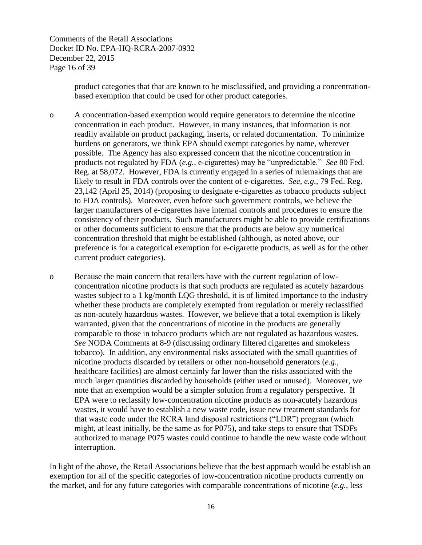Comments of the Retail Associations Docket ID No. EPA-HQ-RCRA-2007-0932 December 22, 2015 Page 16 of 39

> product categories that that are known to be misclassified, and providing a concentrationbased exemption that could be used for other product categories.

o A concentration-based exemption would require generators to determine the nicotine concentration in each product. However, in many instances, that information is not readily available on product packaging, inserts, or related documentation. To minimize burdens on generators, we think EPA should exempt categories by name, wherever possible. The Agency has also expressed concern that the nicotine concentration in products not regulated by FDA (*e.g.*, e-cigarettes) may be "unpredictable." *See* 80 Fed. Reg. at 58,072. However, FDA is currently engaged in a series of rulemakings that are likely to result in FDA controls over the content of e-cigarettes. *See, e.g.*, 79 Fed. Reg. 23,142 (April 25, 2014) (proposing to designate e-cigarettes as tobacco products subject to FDA controls). Moreover, even before such government controls, we believe the larger manufacturers of e-cigarettes have internal controls and procedures to ensure the consistency of their products. Such manufacturers might be able to provide certifications or other documents sufficient to ensure that the products are below any numerical concentration threshold that might be established (although, as noted above, our preference is for a categorical exemption for e-cigarette products, as well as for the other current product categories).

o Because the main concern that retailers have with the current regulation of lowconcentration nicotine products is that such products are regulated as acutely hazardous wastes subject to a 1 kg/month LQG threshold, it is of limited importance to the industry whether these products are completely exempted from regulation or merely reclassified as non-acutely hazardous wastes. However, we believe that a total exemption is likely warranted, given that the concentrations of nicotine in the products are generally comparable to those in tobacco products which are not regulated as hazardous wastes. *See* NODA Comments at 8-9 (discussing ordinary filtered cigarettes and smokeless tobacco). In addition, any environmental risks associated with the small quantities of nicotine products discarded by retailers or other non-household generators (*e.g.*, healthcare facilities) are almost certainly far lower than the risks associated with the much larger quantities discarded by households (either used or unused). Moreover, we note that an exemption would be a simpler solution from a regulatory perspective. If EPA were to reclassify low-concentration nicotine products as non-acutely hazardous wastes, it would have to establish a new waste code, issue new treatment standards for that waste code under the RCRA land disposal restrictions ("LDR") program (which might, at least initially, be the same as for P075), and take steps to ensure that TSDFs authorized to manage P075 wastes could continue to handle the new waste code without interruption.

In light of the above, the Retail Associations believe that the best approach would be establish an exemption for all of the specific categories of low-concentration nicotine products currently on the market, and for any future categories with comparable concentrations of nicotine (*e.g.*, less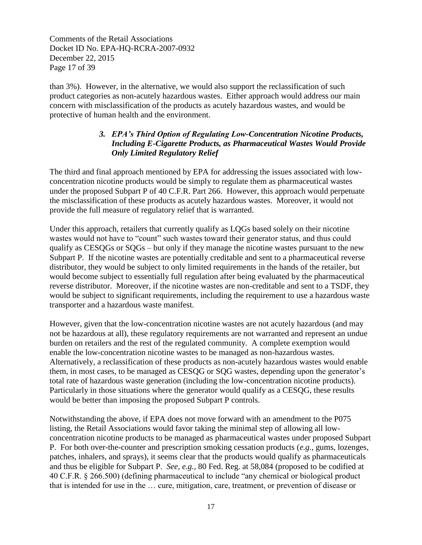Comments of the Retail Associations Docket ID No. EPA-HQ-RCRA-2007-0932 December 22, 2015 Page 17 of 39

than 3%). However, in the alternative, we would also support the reclassification of such product categories as non-acutely hazardous wastes. Either approach would address our main concern with misclassification of the products as acutely hazardous wastes, and would be protective of human health and the environment.

## *3. EPA's Third Option of Regulating Low-Concentration Nicotine Products, Including E-Cigarette Products, as Pharmaceutical Wastes Would Provide Only Limited Regulatory Relief*

The third and final approach mentioned by EPA for addressing the issues associated with lowconcentration nicotine products would be simply to regulate them as pharmaceutical wastes under the proposed Subpart P of 40 C.F.R. Part 266. However, this approach would perpetuate the misclassification of these products as acutely hazardous wastes. Moreover, it would not provide the full measure of regulatory relief that is warranted.

Under this approach, retailers that currently qualify as LQGs based solely on their nicotine wastes would not have to "count" such wastes toward their generator status, and thus could qualify as CESQGs or SQGs – but only if they manage the nicotine wastes pursuant to the new Subpart P. If the nicotine wastes are potentially creditable and sent to a pharmaceutical reverse distributor, they would be subject to only limited requirements in the hands of the retailer, but would become subject to essentially full regulation after being evaluated by the pharmaceutical reverse distributor. Moreover, if the nicotine wastes are non-creditable and sent to a TSDF, they would be subject to significant requirements, including the requirement to use a hazardous waste transporter and a hazardous waste manifest.

However, given that the low-concentration nicotine wastes are not acutely hazardous (and may not be hazardous at all), these regulatory requirements are not warranted and represent an undue burden on retailers and the rest of the regulated community. A complete exemption would enable the low-concentration nicotine wastes to be managed as non-hazardous wastes. Alternatively, a reclassification of these products as non-acutely hazardous wastes would enable them, in most cases, to be managed as CESQG or SQG wastes, depending upon the generator's total rate of hazardous waste generation (including the low-concentration nicotine products). Particularly in those situations where the generator would qualify as a CESQG, these results would be better than imposing the proposed Subpart P controls.

Notwithstanding the above, if EPA does not move forward with an amendment to the P075 listing, the Retail Associations would favor taking the minimal step of allowing all lowconcentration nicotine products to be managed as pharmaceutical wastes under proposed Subpart P. For both over-the-counter and prescription smoking cessation products (*e.g.*, gums, lozenges, patches, inhalers, and sprays), it seems clear that the products would qualify as pharmaceuticals and thus be eligible for Subpart P. *See, e.g.*, 80 Fed. Reg. at 58,084 (proposed to be codified at 40 C.F.R. § 266.500) (defining pharmaceutical to include "any chemical or biological product that is intended for use in the … cure, mitigation, care, treatment, or prevention of disease or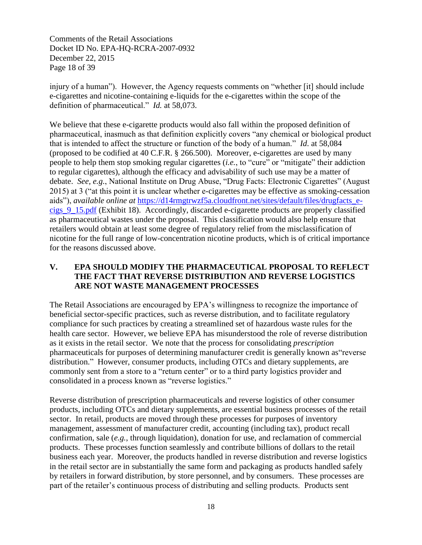Comments of the Retail Associations Docket ID No. EPA-HQ-RCRA-2007-0932 December 22, 2015 Page 18 of 39

injury of a human"). However, the Agency requests comments on "whether [it] should include e-cigarettes and nicotine-containing e-liquids for the e-cigarettes within the scope of the definition of pharmaceutical." *Id.* at 58,073.

We believe that these e-cigarette products would also fall within the proposed definition of pharmaceutical, inasmuch as that definition explicitly covers "any chemical or biological product that is intended to affect the structure or function of the body of a human." *Id*. at 58,084 (proposed to be codified at 40 C.F.R. § 266.500). Moreover, e-cigarettes are used by many people to help them stop smoking regular cigarettes (*i.e.*, to "cure" or "mitigate" their addiction to regular cigarettes), although the efficacy and advisability of such use may be a matter of debate. *See, e.g.*, National Institute on Drug Abuse, "Drug Facts: Electronic Cigarettes" (August 2015) at 3 ("at this point it is unclear whether e-cigarettes may be effective as smoking-cessation aids"), *available online at* [https://d14rmgtrwzf5a.cloudfront.net/sites/default/files/drugfacts\\_e](https://d14rmgtrwzf5a.cloudfront.net/sites/default/files/drugfacts_e-cigs_9_15.pdf)[cigs\\_9\\_15.pdf](https://d14rmgtrwzf5a.cloudfront.net/sites/default/files/drugfacts_e-cigs_9_15.pdf) (Exhibit 18). Accordingly, discarded e-cigarette products are properly classified as pharmaceutical wastes under the proposal. This classification would also help ensure that retailers would obtain at least some degree of regulatory relief from the misclassification of nicotine for the full range of low-concentration nicotine products, which is of critical importance for the reasons discussed above.

## **V. EPA SHOULD MODIFY THE PHARMACEUTICAL PROPOSAL TO REFLECT THE FACT THAT REVERSE DISTRIBUTION AND REVERSE LOGISTICS ARE NOT WASTE MANAGEMENT PROCESSES**

The Retail Associations are encouraged by EPA's willingness to recognize the importance of beneficial sector-specific practices, such as reverse distribution, and to facilitate regulatory compliance for such practices by creating a streamlined set of hazardous waste rules for the health care sector. However, we believe EPA has misunderstood the role of reverse distribution as it exists in the retail sector. We note that the process for consolidating *prescription* pharmaceuticals for purposes of determining manufacturer credit is generally known as"reverse distribution." However, consumer products, including OTCs and dietary supplements, are commonly sent from a store to a "return center" or to a third party logistics provider and consolidated in a process known as "reverse logistics."

Reverse distribution of prescription pharmaceuticals and reverse logistics of other consumer products, including OTCs and dietary supplements, are essential business processes of the retail sector. In retail, products are moved through these processes for purposes of inventory management, assessment of manufacturer credit, accounting (including tax), product recall confirmation, sale (*e.g.*, through liquidation), donation for use, and reclamation of commercial products. These processes function seamlessly and contribute billions of dollars to the retail business each year. Moreover, the products handled in reverse distribution and reverse logistics in the retail sector are in substantially the same form and packaging as products handled safely by retailers in forward distribution, by store personnel, and by consumers. These processes are part of the retailer's continuous process of distributing and selling products. Products sent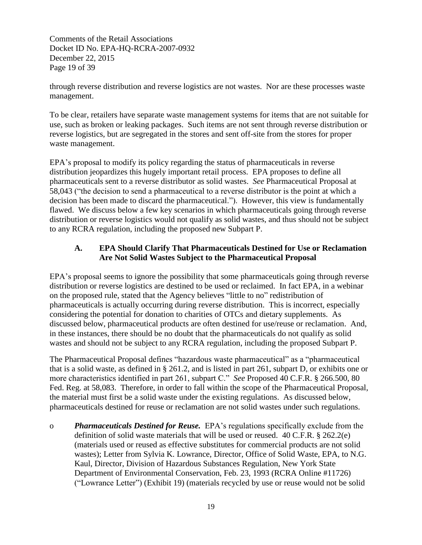Comments of the Retail Associations Docket ID No. EPA-HQ-RCRA-2007-0932 December 22, 2015 Page 19 of 39

through reverse distribution and reverse logistics are not wastes. Nor are these processes waste management.

To be clear, retailers have separate waste management systems for items that are not suitable for use, such as broken or leaking packages. Such items are not sent through reverse distribution or reverse logistics, but are segregated in the stores and sent off-site from the stores for proper waste management.

EPA's proposal to modify its policy regarding the status of pharmaceuticals in reverse distribution jeopardizes this hugely important retail process. EPA proposes to define all pharmaceuticals sent to a reverse distributor as solid wastes. *See* Pharmaceutical Proposal at 58,043 ("the decision to send a pharmaceutical to a reverse distributor is the point at which a decision has been made to discard the pharmaceutical."). However, this view is fundamentally flawed. We discuss below a few key scenarios in which pharmaceuticals going through reverse distribution or reverse logistics would not qualify as solid wastes, and thus should not be subject to any RCRA regulation, including the proposed new Subpart P.

## **A. EPA Should Clarify That Pharmaceuticals Destined for Use or Reclamation Are Not Solid Wastes Subject to the Pharmaceutical Proposal**

EPA's proposal seems to ignore the possibility that some pharmaceuticals going through reverse distribution or reverse logistics are destined to be used or reclaimed. In fact EPA, in a webinar on the proposed rule, stated that the Agency believes "little to no" redistribution of pharmaceuticals is actually occurring during reverse distribution. This is incorrect, especially considering the potential for donation to charities of OTCs and dietary supplements. As discussed below, pharmaceutical products are often destined for use/reuse or reclamation. And, in these instances, there should be no doubt that the pharmaceuticals do not qualify as solid wastes and should not be subject to any RCRA regulation, including the proposed Subpart P.

The Pharmaceutical Proposal defines "hazardous waste pharmaceutical" as a "pharmaceutical that is a solid waste, as defined in § 261.2, and is listed in part 261, subpart D, or exhibits one or more characteristics identified in part 261, subpart C." *See* Proposed 40 C.F.R. § 266.500, 80 Fed. Reg. at 58,083. Therefore, in order to fall within the scope of the Pharmaceutical Proposal, the material must first be a solid waste under the existing regulations. As discussed below, pharmaceuticals destined for reuse or reclamation are not solid wastes under such regulations.

o *Pharmaceuticals Destined for Reuse.* EPA's regulations specifically exclude from the definition of solid waste materials that will be used or reused. 40 C.F.R. § 262.2(e) (materials used or reused as effective substitutes for commercial products are not solid wastes); Letter from Sylvia K. Lowrance, Director, Office of Solid Waste, EPA, to N.G. Kaul, Director, Division of Hazardous Substances Regulation, New York State Department of Environmental Conservation, Feb. 23, 1993 (RCRA Online #11726) ("Lowrance Letter") (Exhibit 19) (materials recycled by use or reuse would not be solid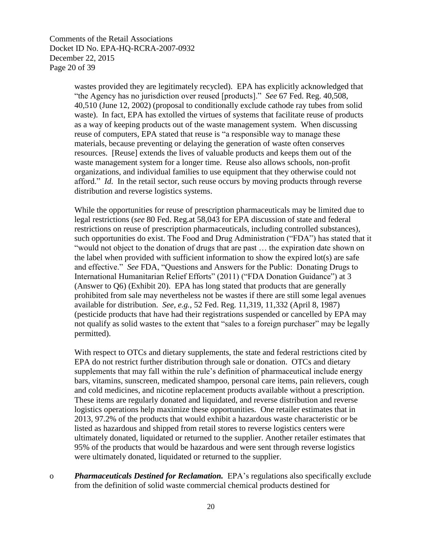Comments of the Retail Associations Docket ID No. EPA-HQ-RCRA-2007-0932 December 22, 2015 Page 20 of 39

> wastes provided they are legitimately recycled). EPA has explicitly acknowledged that "the Agency has no jurisdiction over reused [products]." *See* 67 Fed. Reg. 40,508, 40,510 (June 12, 2002) (proposal to conditionally exclude cathode ray tubes from solid waste). In fact, EPA has extolled the virtues of systems that facilitate reuse of products as a way of keeping products out of the waste management system. When discussing reuse of computers, EPA stated that reuse is "a responsible way to manage these materials, because preventing or delaying the generation of waste often conserves resources. [Reuse] extends the lives of valuable products and keeps them out of the waste management system for a longer time. Reuse also allows schools, non-profit organizations, and individual families to use equipment that they otherwise could not afford." *Id.* In the retail sector, such reuse occurs by moving products through reverse distribution and reverse logistics systems.

While the opportunities for reuse of prescription pharmaceuticals may be limited due to legal restrictions (*see* 80 Fed. Reg.at 58,043 for EPA discussion of state and federal restrictions on reuse of prescription pharmaceuticals, including controlled substances), such opportunities do exist. The Food and Drug Administration ("FDA") has stated that it "would not object to the donation of drugs that are past … the expiration date shown on the label when provided with sufficient information to show the expired lot(s) are safe and effective." *See* FDA, "Questions and Answers for the Public: Donating Drugs to International Humanitarian Relief Efforts" (2011) ("FDA Donation Guidance") at 3 (Answer to Q6) (Exhibit 20). EPA has long stated that products that are generally prohibited from sale may nevertheless not be wastes if there are still some legal avenues available for distribution. *See, e.g.*, 52 Fed. Reg. 11,319, 11,332 (April 8, 1987) (pesticide products that have had their registrations suspended or cancelled by EPA may not qualify as solid wastes to the extent that "sales to a foreign purchaser" may be legally permitted).

With respect to OTCs and dietary supplements, the state and federal restrictions cited by EPA do not restrict further distribution through sale or donation. OTCs and dietary supplements that may fall within the rule's definition of pharmaceutical include energy bars, vitamins, sunscreen, medicated shampoo, personal care items, pain relievers, cough and cold medicines, and nicotine replacement products available without a prescription. These items are regularly donated and liquidated, and reverse distribution and reverse logistics operations help maximize these opportunities. One retailer estimates that in 2013, 97.2% of the products that would exhibit a hazardous waste characteristic or be listed as hazardous and shipped from retail stores to reverse logistics centers were ultimately donated, liquidated or returned to the supplier. Another retailer estimates that 95% of the products that would be hazardous and were sent through reverse logistics were ultimately donated, liquidated or returned to the supplier.

o *Pharmaceuticals Destined for Reclamation.* EPA's regulations also specifically exclude from the definition of solid waste commercial chemical products destined for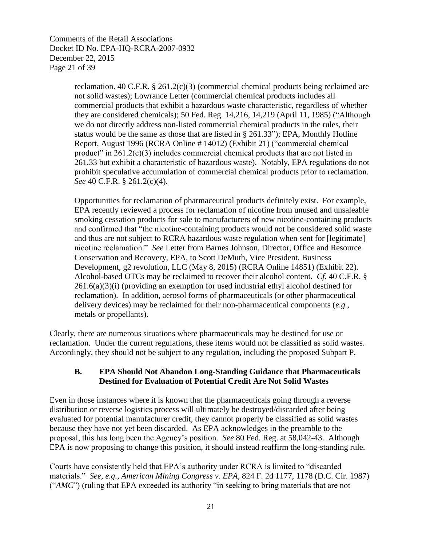Comments of the Retail Associations Docket ID No. EPA-HQ-RCRA-2007-0932 December 22, 2015 Page 21 of 39

> reclamation. 40 C.F.R.  $\S 261.2(c)(3)$  (commercial chemical products being reclaimed are not solid wastes); Lowrance Letter (commercial chemical products includes all commercial products that exhibit a hazardous waste characteristic, regardless of whether they are considered chemicals); 50 Fed. Reg. 14,216, 14,219 (April 11, 1985) ("Although we do not directly address non-listed commercial chemical products in the rules, their status would be the same as those that are listed in § 261.33"); EPA, Monthly Hotline Report, August 1996 (RCRA Online # 14012) (Exhibit 21) ("commercial chemical product" in 261.2(c)(3) includes commercial chemical products that are not listed in 261.33 but exhibit a characteristic of hazardous waste). Notably, EPA regulations do not prohibit speculative accumulation of commercial chemical products prior to reclamation. *See* 40 C.F.R. § 261.2(c)(4).

> Opportunities for reclamation of pharmaceutical products definitely exist. For example, EPA recently reviewed a process for reclamation of nicotine from unused and unsaleable smoking cessation products for sale to manufacturers of new nicotine-containing products and confirmed that "the nicotine-containing products would not be considered solid waste and thus are not subject to RCRA hazardous waste regulation when sent for [legitimate] nicotine reclamation." *See* Letter from Barnes Johnson, Director, Office and Resource Conservation and Recovery, EPA, to Scott DeMuth, Vice President, Business Development, g2 revolution, LLC (May 8, 2015) (RCRA Online 14851) (Exhibit 22). Alcohol-based OTCs may be reclaimed to recover their alcohol content. *Cf.* 40 C.F.R. § 261.6(a)(3)(i) (providing an exemption for used industrial ethyl alcohol destined for reclamation). In addition, aerosol forms of pharmaceuticals (or other pharmaceutical delivery devices) may be reclaimed for their non-pharmaceutical components (*e.g.*, metals or propellants).

Clearly, there are numerous situations where pharmaceuticals may be destined for use or reclamation. Under the current regulations, these items would not be classified as solid wastes. Accordingly, they should not be subject to any regulation, including the proposed Subpart P.

#### **B. EPA Should Not Abandon Long-Standing Guidance that Pharmaceuticals Destined for Evaluation of Potential Credit Are Not Solid Wastes**

Even in those instances where it is known that the pharmaceuticals going through a reverse distribution or reverse logistics process will ultimately be destroyed/discarded after being evaluated for potential manufacturer credit, they cannot properly be classified as solid wastes because they have not yet been discarded. As EPA acknowledges in the preamble to the proposal, this has long been the Agency's position. *See* 80 Fed. Reg. at 58,042-43. Although EPA is now proposing to change this position, it should instead reaffirm the long-standing rule.

Courts have consistently held that EPA's authority under RCRA is limited to "discarded materials." *See, e.g., American Mining Congress v. EPA*, 824 F. 2d 1177, 1178 (D.C. Cir. 1987) ("*AMC*") (ruling that EPA exceeded its authority "in seeking to bring materials that are not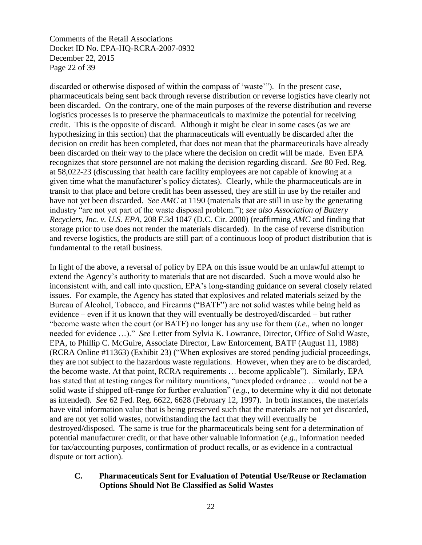Comments of the Retail Associations Docket ID No. EPA-HQ-RCRA-2007-0932 December 22, 2015 Page 22 of 39

discarded or otherwise disposed of within the compass of 'waste'"). In the present case, pharmaceuticals being sent back through reverse distribution or reverse logistics have clearly not been discarded. On the contrary, one of the main purposes of the reverse distribution and reverse logistics processes is to preserve the pharmaceuticals to maximize the potential for receiving credit. This is the opposite of discard. Although it might be clear in some cases (as we are hypothesizing in this section) that the pharmaceuticals will eventually be discarded after the decision on credit has been completed, that does not mean that the pharmaceuticals have already been discarded on their way to the place where the decision on credit will be made. Even EPA recognizes that store personnel are not making the decision regarding discard. *See* 80 Fed. Reg. at 58,022-23 (discussing that health care facility employees are not capable of knowing at a given time what the manufacturer's policy dictates). Clearly, while the pharmaceuticals are in transit to that place and before credit has been assessed, they are still in use by the retailer and have not yet been discarded. *See AMC* at 1190 (materials that are still in use by the generating industry "are not yet part of the waste disposal problem."); *see also Association of Battery Recyclers, Inc. v. U.S. EPA*, 208 F.3d 1047 (D.C. Cir. 2000) (reaffirming *AMC* and finding that storage prior to use does not render the materials discarded). In the case of reverse distribution and reverse logistics, the products are still part of a continuous loop of product distribution that is fundamental to the retail business.

In light of the above, a reversal of policy by EPA on this issue would be an unlawful attempt to extend the Agency's authority to materials that are not discarded. Such a move would also be inconsistent with, and call into question, EPA's long-standing guidance on several closely related issues. For example, the Agency has stated that explosives and related materials seized by the Bureau of Alcohol, Tobacco, and Firearms ("BATF") are not solid wastes while being held as evidence – even if it us known that they will eventually be destroyed/discarded – but rather "become waste when the court (or BATF) no longer has any use for them (*i.e.*, when no longer needed for evidence …)." *See* Letter from Sylvia K. Lowrance, Director, Office of Solid Waste, EPA, to Phillip C. McGuire, Associate Director, Law Enforcement, BATF (August 11, 1988) (RCRA Online #11363) (Exhibit 23) ("When explosives are stored pending judicial proceedings, they are not subject to the hazardous waste regulations. However, when they are to be discarded, the become waste. At that point, RCRA requirements … become applicable"). Similarly, EPA has stated that at testing ranges for military munitions, "unexploded ordnance … would not be a solid waste if shipped off-range for further evaluation" (*e.g.*, to determine why it did not detonate as intended). *See* 62 Fed. Reg. 6622, 6628 (February 12, 1997). In both instances, the materials have vital information value that is being preserved such that the materials are not yet discarded, and are not yet solid wastes, notwithstanding the fact that they will eventually be destroyed/disposed. The same is true for the pharmaceuticals being sent for a determination of potential manufacturer credit, or that have other valuable information (*e.g.*, information needed for tax/accounting purposes, confirmation of product recalls, or as evidence in a contractual dispute or tort action).

#### **C. Pharmaceuticals Sent for Evaluation of Potential Use/Reuse or Reclamation Options Should Not Be Classified as Solid Wastes**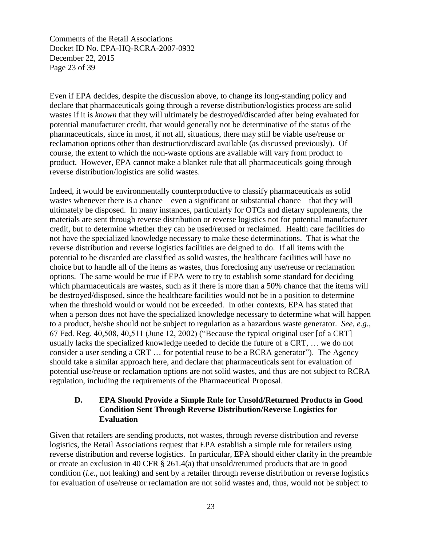Comments of the Retail Associations Docket ID No. EPA-HQ-RCRA-2007-0932 December 22, 2015 Page 23 of 39

Even if EPA decides, despite the discussion above, to change its long-standing policy and declare that pharmaceuticals going through a reverse distribution/logistics process are solid wastes if it is *known* that they will ultimately be destroyed/discarded after being evaluated for potential manufacturer credit, that would generally not be determinative of the status of the pharmaceuticals, since in most, if not all, situations, there may still be viable use/reuse or reclamation options other than destruction/discard available (as discussed previously). Of course, the extent to which the non-waste options are available will vary from product to product. However, EPA cannot make a blanket rule that all pharmaceuticals going through reverse distribution/logistics are solid wastes.

Indeed, it would be environmentally counterproductive to classify pharmaceuticals as solid wastes whenever there is a chance – even a significant or substantial chance – that they will ultimately be disposed. In many instances, particularly for OTCs and dietary supplements, the materials are sent through reverse distribution or reverse logistics not for potential manufacturer credit, but to determine whether they can be used/reused or reclaimed. Health care facilities do not have the specialized knowledge necessary to make these determinations. That is what the reverse distribution and reverse logistics facilities are deigned to do. If all items with the potential to be discarded are classified as solid wastes, the healthcare facilities will have no choice but to handle all of the items as wastes, thus foreclosing any use/reuse or reclamation options. The same would be true if EPA were to try to establish some standard for deciding which pharmaceuticals are wastes, such as if there is more than a 50% chance that the items will be destroyed/disposed, since the healthcare facilities would not be in a position to determine when the threshold would or would not be exceeded. In other contexts, EPA has stated that when a person does not have the specialized knowledge necessary to determine what will happen to a product, he/she should not be subject to regulation as a hazardous waste generator. *See, e.g.*, 67 Fed. Reg. 40,508, 40,511 (June 12, 2002) ("Because the typical original user [of a CRT] usually lacks the specialized knowledge needed to decide the future of a CRT, … we do not consider a user sending a CRT … for potential reuse to be a RCRA generator"). The Agency should take a similar approach here, and declare that pharmaceuticals sent for evaluation of potential use/reuse or reclamation options are not solid wastes, and thus are not subject to RCRA regulation, including the requirements of the Pharmaceutical Proposal.

#### **D. EPA Should Provide a Simple Rule for Unsold/Returned Products in Good Condition Sent Through Reverse Distribution/Reverse Logistics for Evaluation**

Given that retailers are sending products, not wastes, through reverse distribution and reverse logistics, the Retail Associations request that EPA establish a simple rule for retailers using reverse distribution and reverse logistics. In particular, EPA should either clarify in the preamble or create an exclusion in 40 CFR § 261.4(a) that unsold/returned products that are in good condition (*i.e.*, not leaking) and sent by a retailer through reverse distribution or reverse logistics for evaluation of use/reuse or reclamation are not solid wastes and, thus, would not be subject to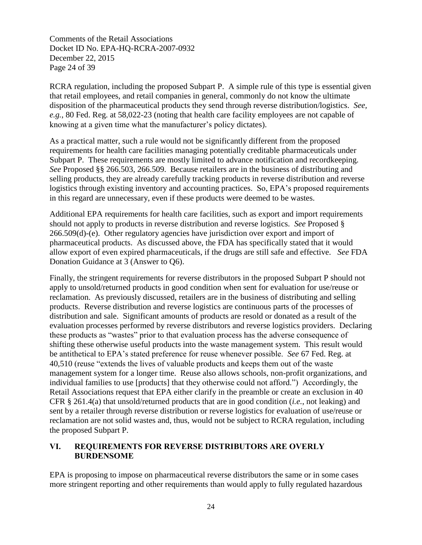Comments of the Retail Associations Docket ID No. EPA-HQ-RCRA-2007-0932 December 22, 2015 Page 24 of 39

RCRA regulation, including the proposed Subpart P. A simple rule of this type is essential given that retail employees, and retail companies in general, commonly do not know the ultimate disposition of the pharmaceutical products they send through reverse distribution/logistics. *See, e.g.*, 80 Fed. Reg. at 58,022-23 (noting that health care facility employees are not capable of knowing at a given time what the manufacturer's policy dictates).

As a practical matter, such a rule would not be significantly different from the proposed requirements for health care facilities managing potentially creditable pharmaceuticals under Subpart P. These requirements are mostly limited to advance notification and recordkeeping. *See* Proposed §§ 266.503, 266.509. Because retailers are in the business of distributing and selling products, they are already carefully tracking products in reverse distribution and reverse logistics through existing inventory and accounting practices. So, EPA's proposed requirements in this regard are unnecessary, even if these products were deemed to be wastes.

Additional EPA requirements for health care facilities, such as export and import requirements should not apply to products in reverse distribution and reverse logistics. *See* Proposed § 266.509(d)-(e). Other regulatory agencies have jurisdiction over export and import of pharmaceutical products. As discussed above, the FDA has specifically stated that it would allow export of even expired pharmaceuticals, if the drugs are still safe and effective. *See* FDA Donation Guidance at 3 (Answer to Q6).

Finally, the stringent requirements for reverse distributors in the proposed Subpart P should not apply to unsold/returned products in good condition when sent for evaluation for use/reuse or reclamation. As previously discussed, retailers are in the business of distributing and selling products. Reverse distribution and reverse logistics are continuous parts of the processes of distribution and sale. Significant amounts of products are resold or donated as a result of the evaluation processes performed by reverse distributors and reverse logistics providers. Declaring these products as "wastes" prior to that evaluation process has the adverse consequence of shifting these otherwise useful products into the waste management system. This result would be antithetical to EPA's stated preference for reuse whenever possible. *See* 67 Fed. Reg. at 40,510 (reuse "extends the lives of valuable products and keeps them out of the waste management system for a longer time. Reuse also allows schools, non-profit organizations, and individual families to use [products] that they otherwise could not afford.") Accordingly, the Retail Associations request that EPA either clarify in the preamble or create an exclusion in 40 CFR § 261.4(a) that unsold/returned products that are in good condition (*i.e.*, not leaking) and sent by a retailer through reverse distribution or reverse logistics for evaluation of use/reuse or reclamation are not solid wastes and, thus, would not be subject to RCRA regulation, including the proposed Subpart P.

## **VI. REQUIREMENTS FOR REVERSE DISTRIBUTORS ARE OVERLY BURDENSOME**

EPA is proposing to impose on pharmaceutical reverse distributors the same or in some cases more stringent reporting and other requirements than would apply to fully regulated hazardous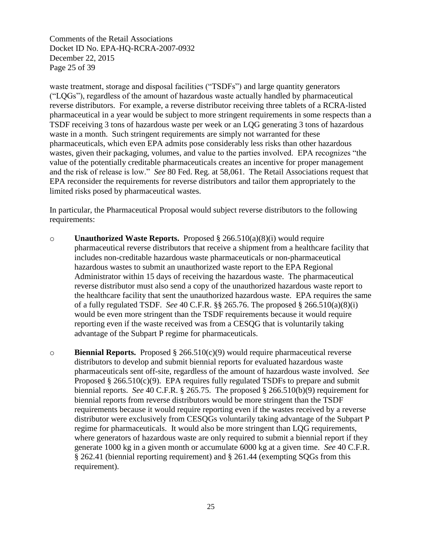Comments of the Retail Associations Docket ID No. EPA-HQ-RCRA-2007-0932 December 22, 2015 Page 25 of 39

waste treatment, storage and disposal facilities ("TSDFs") and large quantity generators ("LQGs"), regardless of the amount of hazardous waste actually handled by pharmaceutical reverse distributors. For example, a reverse distributor receiving three tablets of a RCRA-listed pharmaceutical in a year would be subject to more stringent requirements in some respects than a TSDF receiving 3 tons of hazardous waste per week or an LQG generating 3 tons of hazardous waste in a month. Such stringent requirements are simply not warranted for these pharmaceuticals, which even EPA admits pose considerably less risks than other hazardous wastes, given their packaging, volumes, and value to the parties involved. EPA recognizes "the value of the potentially creditable pharmaceuticals creates an incentive for proper management and the risk of release is low." *See* 80 Fed. Reg. at 58,061. The Retail Associations request that EPA reconsider the requirements for reverse distributors and tailor them appropriately to the limited risks posed by pharmaceutical wastes.

In particular, the Pharmaceutical Proposal would subject reverse distributors to the following requirements:

- o **Unauthorized Waste Reports.** Proposed § 266.510(a)(8)(i) would require pharmaceutical reverse distributors that receive a shipment from a healthcare facility that includes non-creditable hazardous waste pharmaceuticals or non-pharmaceutical hazardous wastes to submit an unauthorized waste report to the EPA Regional Administrator within 15 days of receiving the hazardous waste. The pharmaceutical reverse distributor must also send a copy of the unauthorized hazardous waste report to the healthcare facility that sent the unauthorized hazardous waste. EPA requires the same of a fully regulated TSDF. *See* 40 C.F.R. §§ 265.76. The proposed § 266.510(a)(8)(i) would be even more stringent than the TSDF requirements because it would require reporting even if the waste received was from a CESQG that is voluntarily taking advantage of the Subpart P regime for pharmaceuticals.
- o **Biennial Reports.** Proposed § 266.510(c)(9) would require pharmaceutical reverse distributors to develop and submit biennial reports for evaluated hazardous waste pharmaceuticals sent off-site, regardless of the amount of hazardous waste involved. *See*  Proposed  $\S 266.510(c)(9)$ . EPA requires fully regulated TSDFs to prepare and submit biennial reports. *See* 40 C.F.R. § 265.75. The proposed § 266.510(b)(9) requirement for biennial reports from reverse distributors would be more stringent than the TSDF requirements because it would require reporting even if the wastes received by a reverse distributor were exclusively from CESQGs voluntarily taking advantage of the Subpart P regime for pharmaceuticals. It would also be more stringent than LQG requirements, where generators of hazardous waste are only required to submit a biennial report if they generate 1000 kg in a given month or accumulate 6000 kg at a given time. *See* 40 C.F.R. § 262.41 (biennial reporting requirement) and § 261.44 (exempting SQGs from this requirement).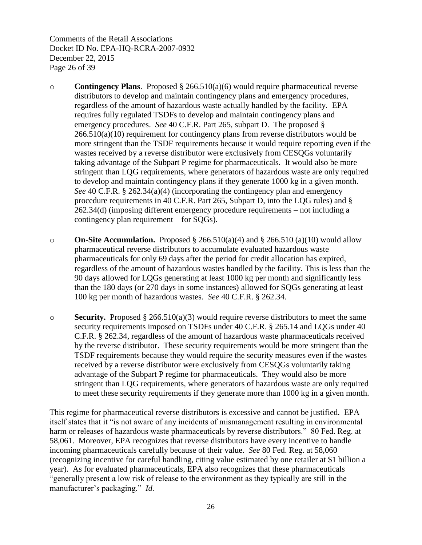Comments of the Retail Associations Docket ID No. EPA-HQ-RCRA-2007-0932 December 22, 2015 Page 26 of 39

- o **Contingency Plans**. Proposed § 266.510(a)(6) would require pharmaceutical reverse distributors to develop and maintain contingency plans and emergency procedures, regardless of the amount of hazardous waste actually handled by the facility. EPA requires fully regulated TSDFs to develop and maintain contingency plans and emergency procedures. *See* 40 C.F.R. Part 265, subpart D. The proposed § 266.510(a)(10) requirement for contingency plans from reverse distributors would be more stringent than the TSDF requirements because it would require reporting even if the wastes received by a reverse distributor were exclusively from CESQGs voluntarily taking advantage of the Subpart P regime for pharmaceuticals. It would also be more stringent than LQG requirements, where generators of hazardous waste are only required to develop and maintain contingency plans if they generate 1000 kg in a given month. *See* 40 C.F.R. § 262.34(a)(4) (incorporating the contingency plan and emergency procedure requirements in 40 C.F.R. Part 265, Subpart D, into the LQG rules) and § 262.34(d) (imposing different emergency procedure requirements – not including a contingency plan requirement – for SQGs).
- o **On-Site Accumulation.** Proposed § 266.510(a)(4) and § 266.510 (a)(10) would allow pharmaceutical reverse distributors to accumulate evaluated hazardous waste pharmaceuticals for only 69 days after the period for credit allocation has expired, regardless of the amount of hazardous wastes handled by the facility. This is less than the 90 days allowed for LQGs generating at least 1000 kg per month and significantly less than the 180 days (or 270 days in some instances) allowed for SQGs generating at least 100 kg per month of hazardous wastes. *See* 40 C.F.R. § 262.34.
- o **Security.** Proposed § 266.510(a)(3) would require reverse distributors to meet the same security requirements imposed on TSDFs under 40 C.F.R. § 265.14 and LQGs under 40 C.F.R. § 262.34, regardless of the amount of hazardous waste pharmaceuticals received by the reverse distributor. These security requirements would be more stringent than the TSDF requirements because they would require the security measures even if the wastes received by a reverse distributor were exclusively from CESQGs voluntarily taking advantage of the Subpart P regime for pharmaceuticals. They would also be more stringent than LQG requirements, where generators of hazardous waste are only required to meet these security requirements if they generate more than 1000 kg in a given month.

This regime for pharmaceutical reverse distributors is excessive and cannot be justified. EPA itself states that it "is not aware of any incidents of mismanagement resulting in environmental harm or releases of hazardous waste pharmaceuticals by reverse distributors." 80 Fed. Reg. at 58,061. Moreover, EPA recognizes that reverse distributors have every incentive to handle incoming pharmaceuticals carefully because of their value. *See* 80 Fed. Reg. at 58,060 (recognizing incentive for careful handling, citing value estimated by one retailer at \$1 billion a year). As for evaluated pharmaceuticals, EPA also recognizes that these pharmaceuticals "generally present a low risk of release to the environment as they typically are still in the manufacturer's packaging." *Id.*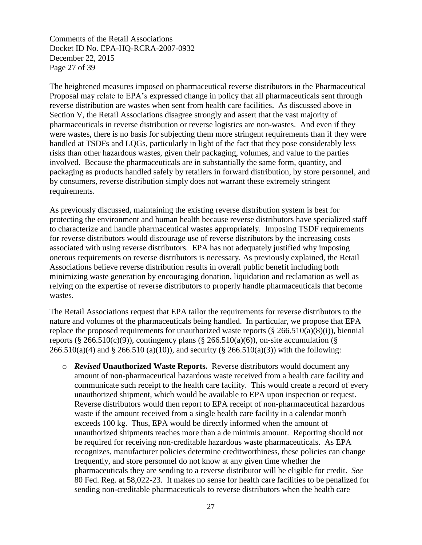Comments of the Retail Associations Docket ID No. EPA-HQ-RCRA-2007-0932 December 22, 2015 Page 27 of 39

The heightened measures imposed on pharmaceutical reverse distributors in the Pharmaceutical Proposal may relate to EPA's expressed change in policy that all pharmaceuticals sent through reverse distribution are wastes when sent from health care facilities. As discussed above in Section V, the Retail Associations disagree strongly and assert that the vast majority of pharmaceuticals in reverse distribution or reverse logistics are non-wastes. And even if they were wastes, there is no basis for subjecting them more stringent requirements than if they were handled at TSDFs and LQGs, particularly in light of the fact that they pose considerably less risks than other hazardous wastes, given their packaging, volumes, and value to the parties involved. Because the pharmaceuticals are in substantially the same form, quantity, and packaging as products handled safely by retailers in forward distribution, by store personnel, and by consumers, reverse distribution simply does not warrant these extremely stringent requirements.

As previously discussed, maintaining the existing reverse distribution system is best for protecting the environment and human health because reverse distributors have specialized staff to characterize and handle pharmaceutical wastes appropriately. Imposing TSDF requirements for reverse distributors would discourage use of reverse distributors by the increasing costs associated with using reverse distributors. EPA has not adequately justified why imposing onerous requirements on reverse distributors is necessary. As previously explained, the Retail Associations believe reverse distribution results in overall public benefit including both minimizing waste generation by encouraging donation, liquidation and reclamation as well as relying on the expertise of reverse distributors to properly handle pharmaceuticals that become wastes.

The Retail Associations request that EPA tailor the requirements for reverse distributors to the nature and volumes of the pharmaceuticals being handled. In particular, we propose that EPA replace the proposed requirements for unauthorized waste reports ( $\S$  266.510(a)(8)(i)), biennial reports (§ 266.510(c)(9)), contingency plans (§ 266.510(a)(6)), on-site accumulation (§  $266.510(a)(4)$  and § 266.510 (a)(10)), and security (§ 266.510(a)(3)) with the following:

o *Revised* **Unauthorized Waste Reports.** Reverse distributors would document any amount of non-pharmaceutical hazardous waste received from a health care facility and communicate such receipt to the health care facility. This would create a record of every unauthorized shipment, which would be available to EPA upon inspection or request. Reverse distributors would then report to EPA receipt of non-pharmaceutical hazardous waste if the amount received from a single health care facility in a calendar month exceeds 100 kg. Thus, EPA would be directly informed when the amount of unauthorized shipments reaches more than a de minimis amount. Reporting should not be required for receiving non-creditable hazardous waste pharmaceuticals. As EPA recognizes, manufacturer policies determine creditworthiness, these policies can change frequently, and store personnel do not know at any given time whether the pharmaceuticals they are sending to a reverse distributor will be eligible for credit. *See*  80 Fed. Reg. at 58,022-23. It makes no sense for health care facilities to be penalized for sending non-creditable pharmaceuticals to reverse distributors when the health care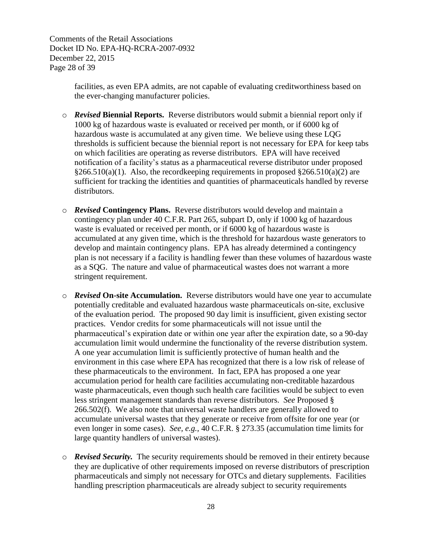Comments of the Retail Associations Docket ID No. EPA-HQ-RCRA-2007-0932 December 22, 2015 Page 28 of 39

> facilities, as even EPA admits, are not capable of evaluating creditworthiness based on the ever-changing manufacturer policies.

- o *Revised* **Biennial Reports.** Reverse distributors would submit a biennial report only if 1000 kg of hazardous waste is evaluated or received per month, or if 6000 kg of hazardous waste is accumulated at any given time. We believe using these LQG thresholds is sufficient because the biennial report is not necessary for EPA for keep tabs on which facilities are operating as reverse distributors. EPA will have received notification of a facility's status as a pharmaceutical reverse distributor under proposed  $\S266.510(a)(1)$ . Also, the record keeping requirements in proposed  $\S266.510(a)(2)$  are sufficient for tracking the identities and quantities of pharmaceuticals handled by reverse distributors.
- o *Revised* **Contingency Plans.** Reverse distributors would develop and maintain a contingency plan under 40 C.F.R. Part 265, subpart D, only if 1000 kg of hazardous waste is evaluated or received per month, or if 6000 kg of hazardous waste is accumulated at any given time, which is the threshold for hazardous waste generators to develop and maintain contingency plans. EPA has already determined a contingency plan is not necessary if a facility is handling fewer than these volumes of hazardous waste as a SQG. The nature and value of pharmaceutical wastes does not warrant a more stringent requirement.
- o *Revised* **On-site Accumulation.** Reverse distributors would have one year to accumulate potentially creditable and evaluated hazardous waste pharmaceuticals on-site, exclusive of the evaluation period. The proposed 90 day limit is insufficient, given existing sector practices. Vendor credits for some pharmaceuticals will not issue until the pharmaceutical's expiration date or within one year after the expiration date, so a 90-day accumulation limit would undermine the functionality of the reverse distribution system. A one year accumulation limit is sufficiently protective of human health and the environment in this case where EPA has recognized that there is a low risk of release of these pharmaceuticals to the environment. In fact, EPA has proposed a one year accumulation period for health care facilities accumulating non-creditable hazardous waste pharmaceuticals, even though such health care facilities would be subject to even less stringent management standards than reverse distributors. *See* Proposed § 266.502(f). We also note that universal waste handlers are generally allowed to accumulate universal wastes that they generate or receive from offsite for one year (or even longer in some cases). *See, e.g.,* 40 C.F.R. § 273.35 (accumulation time limits for large quantity handlers of universal wastes).
- o *Revised Security.*The security requirements should be removed in their entirety because they are duplicative of other requirements imposed on reverse distributors of prescription pharmaceuticals and simply not necessary for OTCs and dietary supplements. Facilities handling prescription pharmaceuticals are already subject to security requirements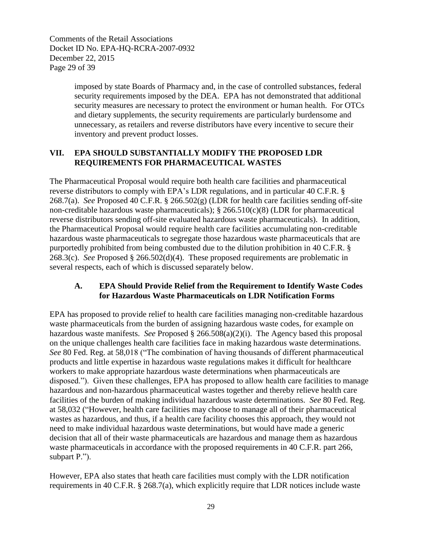Comments of the Retail Associations Docket ID No. EPA-HQ-RCRA-2007-0932 December 22, 2015 Page 29 of 39

> imposed by state Boards of Pharmacy and, in the case of controlled substances, federal security requirements imposed by the DEA. EPA has not demonstrated that additional security measures are necessary to protect the environment or human health. For OTCs and dietary supplements, the security requirements are particularly burdensome and unnecessary, as retailers and reverse distributors have every incentive to secure their inventory and prevent product losses.

## **VII. EPA SHOULD SUBSTANTIALLY MODIFY THE PROPOSED LDR REQUIREMENTS FOR PHARMACEUTICAL WASTES**

The Pharmaceutical Proposal would require both health care facilities and pharmaceutical reverse distributors to comply with EPA's LDR regulations, and in particular 40 C.F.R. § 268.7(a). *See* Proposed 40 C.F.R. § 266.502(g) (LDR for health care facilities sending off-site non-creditable hazardous waste pharmaceuticals);  $\S$  266.510(c)(8) (LDR for pharmaceutical reverse distributors sending off-site evaluated hazardous waste pharmaceuticals). In addition, the Pharmaceutical Proposal would require health care facilities accumulating non-creditable hazardous waste pharmaceuticals to segregate those hazardous waste pharmaceuticals that are purportedly prohibited from being combusted due to the dilution prohibition in 40 C.F.R. § 268.3(c). *See* Proposed § 266.502(d)(4). These proposed requirements are problematic in several respects, each of which is discussed separately below.

#### **A. EPA Should Provide Relief from the Requirement to Identify Waste Codes for Hazardous Waste Pharmaceuticals on LDR Notification Forms**

EPA has proposed to provide relief to health care facilities managing non-creditable hazardous waste pharmaceuticals from the burden of assigning hazardous waste codes, for example on hazardous waste manifests. *See* Proposed § 266.508(a)(2)(i). The Agency based this proposal on the unique challenges health care facilities face in making hazardous waste determinations. *See* 80 Fed. Reg. at 58,018 ("The combination of having thousands of different pharmaceutical products and little expertise in hazardous waste regulations makes it difficult for healthcare workers to make appropriate hazardous waste determinations when pharmaceuticals are disposed."). Given these challenges, EPA has proposed to allow health care facilities to manage hazardous and non-hazardous pharmaceutical wastes together and thereby relieve health care facilities of the burden of making individual hazardous waste determinations. *See* 80 Fed. Reg. at 58,032 ("However, health care facilities may choose to manage all of their pharmaceutical wastes as hazardous, and thus, if a health care facility chooses this approach, they would not need to make individual hazardous waste determinations, but would have made a generic decision that all of their waste pharmaceuticals are hazardous and manage them as hazardous waste pharmaceuticals in accordance with the proposed requirements in 40 C.F.R. part 266, subpart P.").

However, EPA also states that heath care facilities must comply with the LDR notification requirements in 40 C.F.R. § 268.7(a), which explicitly require that LDR notices include waste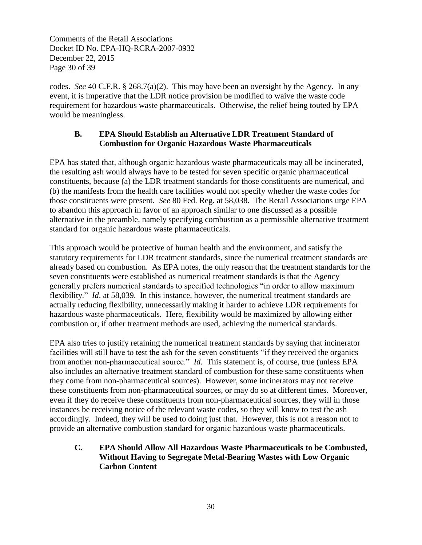Comments of the Retail Associations Docket ID No. EPA-HQ-RCRA-2007-0932 December 22, 2015 Page 30 of 39

codes. *See* 40 C.F.R. § 268.7(a)(2). This may have been an oversight by the Agency. In any event, it is imperative that the LDR notice provision be modified to waive the waste code requirement for hazardous waste pharmaceuticals. Otherwise, the relief being touted by EPA would be meaningless.

## **B. EPA Should Establish an Alternative LDR Treatment Standard of Combustion for Organic Hazardous Waste Pharmaceuticals**

EPA has stated that, although organic hazardous waste pharmaceuticals may all be incinerated, the resulting ash would always have to be tested for seven specific organic pharmaceutical constituents, because (a) the LDR treatment standards for those constituents are numerical, and (b) the manifests from the health care facilities would not specify whether the waste codes for those constituents were present. *See* 80 Fed. Reg. at 58,038. The Retail Associations urge EPA to abandon this approach in favor of an approach similar to one discussed as a possible alternative in the preamble, namely specifying combustion as a permissible alternative treatment standard for organic hazardous waste pharmaceuticals.

This approach would be protective of human health and the environment, and satisfy the statutory requirements for LDR treatment standards, since the numerical treatment standards are already based on combustion. As EPA notes, the only reason that the treatment standards for the seven constituents were established as numerical treatment standards is that the Agency generally prefers numerical standards to specified technologies "in order to allow maximum flexibility." *Id.* at 58,039. In this instance, however, the numerical treatment standards are actually reducing flexibility, unnecessarily making it harder to achieve LDR requirements for hazardous waste pharmaceuticals. Here, flexibility would be maximized by allowing either combustion or, if other treatment methods are used, achieving the numerical standards.

EPA also tries to justify retaining the numerical treatment standards by saying that incinerator facilities will still have to test the ash for the seven constituents "if they received the organics from another non-pharmaceutical source." *Id*. This statement is, of course, true (unless EPA also includes an alternative treatment standard of combustion for these same constituents when they come from non-pharmaceutical sources). However, some incinerators may not receive these constituents from non-pharmaceutical sources, or may do so at different times. Moreover, even if they do receive these constituents from non-pharmaceutical sources, they will in those instances be receiving notice of the relevant waste codes, so they will know to test the ash accordingly. Indeed, they will be used to doing just that. However, this is not a reason not to provide an alternative combustion standard for organic hazardous waste pharmaceuticals.

**C. EPA Should Allow All Hazardous Waste Pharmaceuticals to be Combusted, Without Having to Segregate Metal-Bearing Wastes with Low Organic Carbon Content**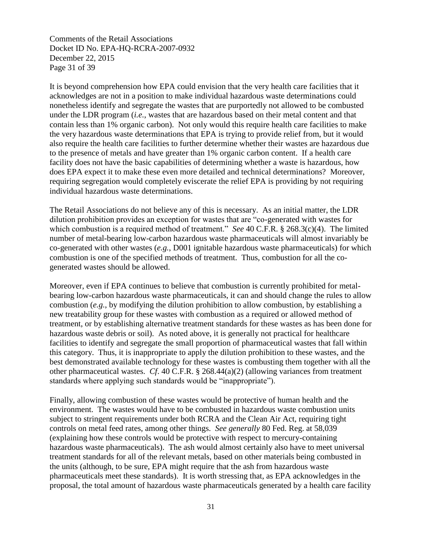Comments of the Retail Associations Docket ID No. EPA-HQ-RCRA-2007-0932 December 22, 2015 Page 31 of 39

It is beyond comprehension how EPA could envision that the very health care facilities that it acknowledges are not in a position to make individual hazardous waste determinations could nonetheless identify and segregate the wastes that are purportedly not allowed to be combusted under the LDR program (*i.e.*, wastes that are hazardous based on their metal content and that contain less than 1% organic carbon). Not only would this require health care facilities to make the very hazardous waste determinations that EPA is trying to provide relief from, but it would also require the health care facilities to further determine whether their wastes are hazardous due to the presence of metals and have greater than 1% organic carbon content. If a health care facility does not have the basic capabilities of determining whether a waste is hazardous, how does EPA expect it to make these even more detailed and technical determinations? Moreover, requiring segregation would completely eviscerate the relief EPA is providing by not requiring individual hazardous waste determinations.

The Retail Associations do not believe any of this is necessary. As an initial matter, the LDR dilution prohibition provides an exception for wastes that are "co-generated with wastes for which combustion is a required method of treatment." *See* 40 C.F.R. § 268.3(c)(4). The limited number of metal-bearing low-carbon hazardous waste pharmaceuticals will almost invariably be co-generated with other wastes (*e.g.*, D001 ignitable hazardous waste pharmaceuticals) for which combustion is one of the specified methods of treatment. Thus, combustion for all the cogenerated wastes should be allowed.

Moreover, even if EPA continues to believe that combustion is currently prohibited for metalbearing low-carbon hazardous waste pharmaceuticals, it can and should change the rules to allow combustion (*e.g.*, by modifying the dilution prohibition to allow combustion, by establishing a new treatability group for these wastes with combustion as a required or allowed method of treatment, or by establishing alternative treatment standards for these wastes as has been done for hazardous waste debris or soil). As noted above, it is generally not practical for healthcare facilities to identify and segregate the small proportion of pharmaceutical wastes that fall within this category. Thus, it is inappropriate to apply the dilution prohibition to these wastes, and the best demonstrated available technology for these wastes is combusting them together with all the other pharmaceutical wastes. *Cf*. 40 C.F.R. § 268.44(a)(2) (allowing variances from treatment standards where applying such standards would be "inappropriate").

Finally, allowing combustion of these wastes would be protective of human health and the environment. The wastes would have to be combusted in hazardous waste combustion units subject to stringent requirements under both RCRA and the Clean Air Act, requiring tight controls on metal feed rates, among other things. *See generally* 80 Fed. Reg. at 58,039 (explaining how these controls would be protective with respect to mercury-containing hazardous waste pharmaceuticals). The ash would almost certainly also have to meet universal treatment standards for all of the relevant metals, based on other materials being combusted in the units (although, to be sure, EPA might require that the ash from hazardous waste pharmaceuticals meet these standards). It is worth stressing that, as EPA acknowledges in the proposal, the total amount of hazardous waste pharmaceuticals generated by a health care facility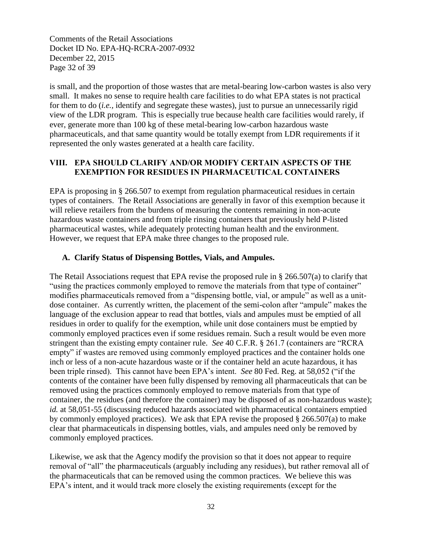Comments of the Retail Associations Docket ID No. EPA-HQ-RCRA-2007-0932 December 22, 2015 Page 32 of 39

is small, and the proportion of those wastes that are metal-bearing low-carbon wastes is also very small. It makes no sense to require health care facilities to do what EPA states is not practical for them to do (*i.e.,* identify and segregate these wastes), just to pursue an unnecessarily rigid view of the LDR program. This is especially true because health care facilities would rarely, if ever, generate more than 100 kg of these metal-bearing low-carbon hazardous waste pharmaceuticals, and that same quantity would be totally exempt from LDR requirements if it represented the only wastes generated at a health care facility.

## **VIII. EPA SHOULD CLARIFY AND/OR MODIFY CERTAIN ASPECTS OF THE EXEMPTION FOR RESIDUES IN PHARMACEUTICAL CONTAINERS**

EPA is proposing in § 266.507 to exempt from regulation pharmaceutical residues in certain types of containers. The Retail Associations are generally in favor of this exemption because it will relieve retailers from the burdens of measuring the contents remaining in non-acute hazardous waste containers and from triple rinsing containers that previously held P-listed pharmaceutical wastes, while adequately protecting human health and the environment. However, we request that EPA make three changes to the proposed rule.

## **A. Clarify Status of Dispensing Bottles, Vials, and Ampules.**

The Retail Associations request that EPA revise the proposed rule in § 266.507(a) to clarify that "using the practices commonly employed to remove the materials from that type of container" modifies pharmaceuticals removed from a "dispensing bottle, vial, or ampule" as well as a unitdose container. As currently written, the placement of the semi-colon after "ampule" makes the language of the exclusion appear to read that bottles, vials and ampules must be emptied of all residues in order to qualify for the exemption, while unit dose containers must be emptied by commonly employed practices even if some residues remain. Such a result would be even more stringent than the existing empty container rule. *See* 40 C.F.R. § 261.7 (containers are "RCRA empty" if wastes are removed using commonly employed practices and the container holds one inch or less of a non-acute hazardous waste or if the container held an acute hazardous, it has been triple rinsed). This cannot have been EPA's intent. *See* 80 Fed. Reg. at 58,052 ("if the contents of the container have been fully dispensed by removing all pharmaceuticals that can be removed using the practices commonly employed to remove materials from that type of container, the residues (and therefore the container) may be disposed of as non-hazardous waste); *id.* at 58,051-55 (discussing reduced hazards associated with pharmaceutical containers emptied by commonly employed practices). We ask that EPA revise the proposed  $\S 266.507(a)$  to make clear that pharmaceuticals in dispensing bottles, vials, and ampules need only be removed by commonly employed practices.

Likewise, we ask that the Agency modify the provision so that it does not appear to require removal of "all" the pharmaceuticals (arguably including any residues), but rather removal all of the pharmaceuticals that can be removed using the common practices. We believe this was EPA's intent, and it would track more closely the existing requirements (except for the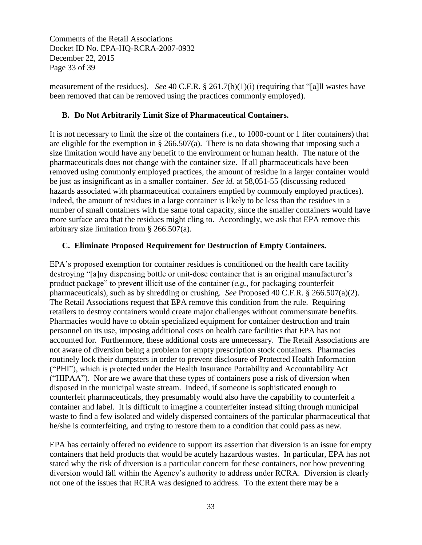Comments of the Retail Associations Docket ID No. EPA-HQ-RCRA-2007-0932 December 22, 2015 Page 33 of 39

measurement of the residues). *See* 40 C.F.R. § 261.7(b)(1)(i) (requiring that "[a]ll wastes have been removed that can be removed using the practices commonly employed).

#### **B. Do Not Arbitrarily Limit Size of Pharmaceutical Containers.**

It is not necessary to limit the size of the containers (*i.e.*, to 1000-count or 1 liter containers) that are eligible for the exemption in § 266.507(a). There is no data showing that imposing such a size limitation would have any benefit to the environment or human health. The nature of the pharmaceuticals does not change with the container size. If all pharmaceuticals have been removed using commonly employed practices, the amount of residue in a larger container would be just as insignificant as in a smaller container. *See id.* at 58,051-55 (discussing reduced hazards associated with pharmaceutical containers emptied by commonly employed practices). Indeed, the amount of residues in a large container is likely to be less than the residues in a number of small containers with the same total capacity, since the smaller containers would have more surface area that the residues might cling to. Accordingly, we ask that EPA remove this arbitrary size limitation from § 266.507(a).

#### **C. Eliminate Proposed Requirement for Destruction of Empty Containers.**

EPA's proposed exemption for container residues is conditioned on the health care facility destroying "[a]ny dispensing bottle or unit-dose container that is an original manufacturer's product package" to prevent illicit use of the container (*e.g.*, for packaging counterfeit pharmaceuticals), such as by shredding or crushing. *See* Proposed 40 C.F.R. § 266.507(a)(2). The Retail Associations request that EPA remove this condition from the rule. Requiring retailers to destroy containers would create major challenges without commensurate benefits. Pharmacies would have to obtain specialized equipment for container destruction and train personnel on its use, imposing additional costs on health care facilities that EPA has not accounted for. Furthermore, these additional costs are unnecessary. The Retail Associations are not aware of diversion being a problem for empty prescription stock containers. Pharmacies routinely lock their dumpsters in order to prevent disclosure of Protected Health Information ("PHI"), which is protected under the Health Insurance Portability and Accountability Act ("HIPAA"). Nor are we aware that these types of containers pose a risk of diversion when disposed in the municipal waste stream. Indeed, if someone is sophisticated enough to counterfeit pharmaceuticals, they presumably would also have the capability to counterfeit a container and label. It is difficult to imagine a counterfeiter instead sifting through municipal waste to find a few isolated and widely dispersed containers of the particular pharmaceutical that he/she is counterfeiting, and trying to restore them to a condition that could pass as new.

EPA has certainly offered no evidence to support its assertion that diversion is an issue for empty containers that held products that would be acutely hazardous wastes. In particular, EPA has not stated why the risk of diversion is a particular concern for these containers, nor how preventing diversion would fall within the Agency's authority to address under RCRA. Diversion is clearly not one of the issues that RCRA was designed to address. To the extent there may be a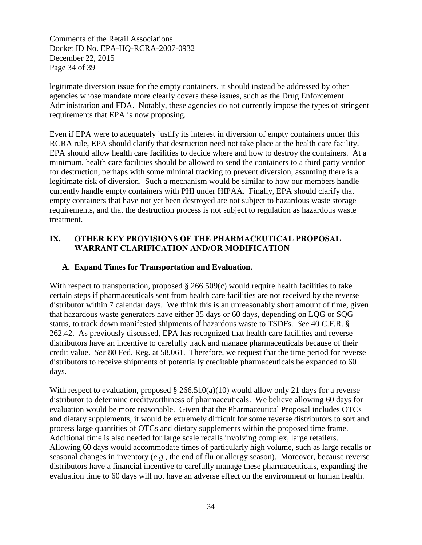Comments of the Retail Associations Docket ID No. EPA-HQ-RCRA-2007-0932 December 22, 2015 Page 34 of 39

legitimate diversion issue for the empty containers, it should instead be addressed by other agencies whose mandate more clearly covers these issues, such as the Drug Enforcement Administration and FDA. Notably, these agencies do not currently impose the types of stringent requirements that EPA is now proposing.

Even if EPA were to adequately justify its interest in diversion of empty containers under this RCRA rule, EPA should clarify that destruction need not take place at the health care facility. EPA should allow health care facilities to decide where and how to destroy the containers. At a minimum, health care facilities should be allowed to send the containers to a third party vendor for destruction, perhaps with some minimal tracking to prevent diversion, assuming there is a legitimate risk of diversion. Such a mechanism would be similar to how our members handle currently handle empty containers with PHI under HIPAA. Finally, EPA should clarify that empty containers that have not yet been destroyed are not subject to hazardous waste storage requirements, and that the destruction process is not subject to regulation as hazardous waste treatment.

#### **IX. OTHER KEY PROVISIONS OF THE PHARMACEUTICAL PROPOSAL WARRANT CLARIFICATION AND/OR MODIFICATION**

#### **A. Expand Times for Transportation and Evaluation.**

With respect to transportation, proposed § 266.509(c) would require health facilities to take certain steps if pharmaceuticals sent from health care facilities are not received by the reverse distributor within 7 calendar days. We think this is an unreasonably short amount of time, given that hazardous waste generators have either 35 days or 60 days, depending on LQG or SQG status, to track down manifested shipments of hazardous waste to TSDFs. *See* 40 C.F.R. § 262.42. As previously discussed, EPA has recognized that health care facilities and reverse distributors have an incentive to carefully track and manage pharmaceuticals because of their credit value. *See* 80 Fed. Reg. at 58,061. Therefore, we request that the time period for reverse distributors to receive shipments of potentially creditable pharmaceuticals be expanded to 60 days.

With respect to evaluation, proposed  $\S 266.510(a)(10)$  would allow only 21 days for a reverse distributor to determine creditworthiness of pharmaceuticals. We believe allowing 60 days for evaluation would be more reasonable. Given that the Pharmaceutical Proposal includes OTCs and dietary supplements, it would be extremely difficult for some reverse distributors to sort and process large quantities of OTCs and dietary supplements within the proposed time frame. Additional time is also needed for large scale recalls involving complex, large retailers. Allowing 60 days would accommodate times of particularly high volume, such as large recalls or seasonal changes in inventory (*e.g.*, the end of flu or allergy season). Moreover, because reverse distributors have a financial incentive to carefully manage these pharmaceuticals, expanding the evaluation time to 60 days will not have an adverse effect on the environment or human health.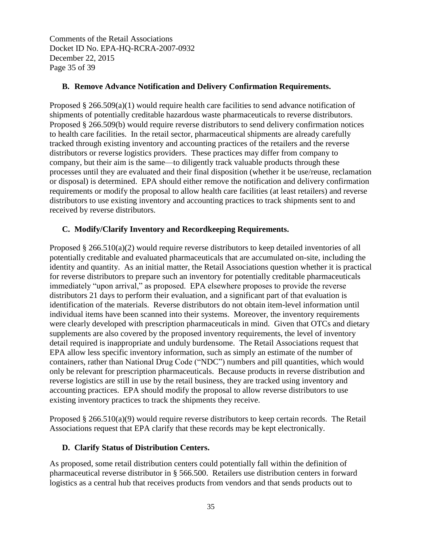Comments of the Retail Associations Docket ID No. EPA-HQ-RCRA-2007-0932 December 22, 2015 Page 35 of 39

#### **B. Remove Advance Notification and Delivery Confirmation Requirements.**

Proposed  $\S 266.509(a)(1)$  would require health care facilities to send advance notification of shipments of potentially creditable hazardous waste pharmaceuticals to reverse distributors. Proposed § 266.509(b) would require reverse distributors to send delivery confirmation notices to health care facilities. In the retail sector, pharmaceutical shipments are already carefully tracked through existing inventory and accounting practices of the retailers and the reverse distributors or reverse logistics providers. These practices may differ from company to company, but their aim is the same—to diligently track valuable products through these processes until they are evaluated and their final disposition (whether it be use/reuse, reclamation or disposal) is determined. EPA should either remove the notification and delivery confirmation requirements or modify the proposal to allow health care facilities (at least retailers) and reverse distributors to use existing inventory and accounting practices to track shipments sent to and received by reverse distributors.

#### **C. Modify/Clarify Inventory and Recordkeeping Requirements.**

Proposed § 266.510(a)(2) would require reverse distributors to keep detailed inventories of all potentially creditable and evaluated pharmaceuticals that are accumulated on-site, including the identity and quantity. As an initial matter, the Retail Associations question whether it is practical for reverse distributors to prepare such an inventory for potentially creditable pharmaceuticals immediately "upon arrival," as proposed. EPA elsewhere proposes to provide the reverse distributors 21 days to perform their evaluation, and a significant part of that evaluation is identification of the materials. Reverse distributors do not obtain item-level information until individual items have been scanned into their systems. Moreover, the inventory requirements were clearly developed with prescription pharmaceuticals in mind. Given that OTCs and dietary supplements are also covered by the proposed inventory requirements, the level of inventory detail required is inappropriate and unduly burdensome. The Retail Associations request that EPA allow less specific inventory information, such as simply an estimate of the number of containers, rather than National Drug Code ("NDC") numbers and pill quantities, which would only be relevant for prescription pharmaceuticals. Because products in reverse distribution and reverse logistics are still in use by the retail business, they are tracked using inventory and accounting practices. EPA should modify the proposal to allow reverse distributors to use existing inventory practices to track the shipments they receive.

Proposed § 266.510(a)(9) would require reverse distributors to keep certain records. The Retail Associations request that EPA clarify that these records may be kept electronically.

## **D. Clarify Status of Distribution Centers.**

As proposed, some retail distribution centers could potentially fall within the definition of pharmaceutical reverse distributor in § 566.500. Retailers use distribution centers in forward logistics as a central hub that receives products from vendors and that sends products out to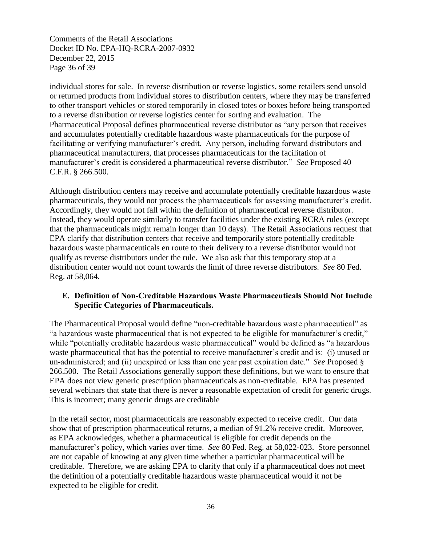Comments of the Retail Associations Docket ID No. EPA-HQ-RCRA-2007-0932 December 22, 2015 Page 36 of 39

individual stores for sale. In reverse distribution or reverse logistics, some retailers send unsold or returned products from individual stores to distribution centers, where they may be transferred to other transport vehicles or stored temporarily in closed totes or boxes before being transported to a reverse distribution or reverse logistics center for sorting and evaluation. The Pharmaceutical Proposal defines pharmaceutical reverse distributor as "any person that receives and accumulates potentially creditable hazardous waste pharmaceuticals for the purpose of facilitating or verifying manufacturer's credit. Any person, including forward distributors and pharmaceutical manufacturers, that processes pharmaceuticals for the facilitation of manufacturer's credit is considered a pharmaceutical reverse distributor." *See* Proposed 40 C.F.R. § 266.500.

Although distribution centers may receive and accumulate potentially creditable hazardous waste pharmaceuticals, they would not process the pharmaceuticals for assessing manufacturer's credit. Accordingly, they would not fall within the definition of pharmaceutical reverse distributor. Instead, they would operate similarly to transfer facilities under the existing RCRA rules (except that the pharmaceuticals might remain longer than 10 days). The Retail Associations request that EPA clarify that distribution centers that receive and temporarily store potentially creditable hazardous waste pharmaceuticals en route to their delivery to a reverse distributor would not qualify as reverse distributors under the rule. We also ask that this temporary stop at a distribution center would not count towards the limit of three reverse distributors. *See* 80 Fed. Reg. at 58,064.

#### **E. Definition of Non-Creditable Hazardous Waste Pharmaceuticals Should Not Include Specific Categories of Pharmaceuticals.**

The Pharmaceutical Proposal would define "non-creditable hazardous waste pharmaceutical" as "a hazardous waste pharmaceutical that is not expected to be eligible for manufacturer's credit," while "potentially creditable hazardous waste pharmaceutical" would be defined as "a hazardous waste pharmaceutical that has the potential to receive manufacturer's credit and is: (i) unused or un-administered; and (ii) unexpired or less than one year past expiration date." *See* Proposed § 266.500. The Retail Associations generally support these definitions, but we want to ensure that EPA does not view generic prescription pharmaceuticals as non-creditable. EPA has presented several webinars that state that there is never a reasonable expectation of credit for generic drugs. This is incorrect; many generic drugs are creditable

In the retail sector, most pharmaceuticals are reasonably expected to receive credit. Our data show that of prescription pharmaceutical returns, a median of 91.2% receive credit. Moreover, as EPA acknowledges, whether a pharmaceutical is eligible for credit depends on the manufacturer's policy, which varies over time. *See* 80 Fed. Reg. at 58,022-023. Store personnel are not capable of knowing at any given time whether a particular pharmaceutical will be creditable. Therefore, we are asking EPA to clarify that only if a pharmaceutical does not meet the definition of a potentially creditable hazardous waste pharmaceutical would it not be expected to be eligible for credit.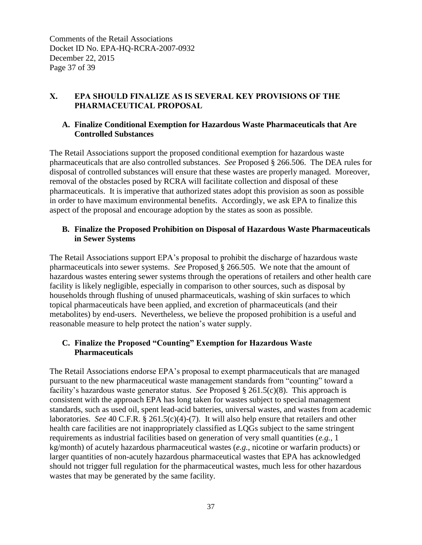Comments of the Retail Associations Docket ID No. EPA-HQ-RCRA-2007-0932 December 22, 2015 Page 37 of 39

## **X. EPA SHOULD FINALIZE AS IS SEVERAL KEY PROVISIONS OF THE PHARMACEUTICAL PROPOSAL**

#### **A. Finalize Conditional Exemption for Hazardous Waste Pharmaceuticals that Are Controlled Substances**

The Retail Associations support the proposed conditional exemption for hazardous waste pharmaceuticals that are also controlled substances. *See* Proposed § 266.506. The DEA rules for disposal of controlled substances will ensure that these wastes are properly managed. Moreover, removal of the obstacles posed by RCRA will facilitate collection and disposal of these pharmaceuticals. It is imperative that authorized states adopt this provision as soon as possible in order to have maximum environmental benefits. Accordingly, we ask EPA to finalize this aspect of the proposal and encourage adoption by the states as soon as possible.

## **B. Finalize the Proposed Prohibition on Disposal of Hazardous Waste Pharmaceuticals in Sewer Systems**

The Retail Associations support EPA's proposal to prohibit the discharge of hazardous waste pharmaceuticals into sewer systems. *See* Proposed § 266.505. We note that the amount of hazardous wastes entering sewer systems through the operations of retailers and other health care facility is likely negligible, especially in comparison to other sources, such as disposal by households through flushing of unused pharmaceuticals, washing of skin surfaces to which topical pharmaceuticals have been applied, and excretion of pharmaceuticals (and their metabolites) by end-users. Nevertheless, we believe the proposed prohibition is a useful and reasonable measure to help protect the nation's water supply.

## **C. Finalize the Proposed "Counting" Exemption for Hazardous Waste Pharmaceuticals**

The Retail Associations endorse EPA's proposal to exempt pharmaceuticals that are managed pursuant to the new pharmaceutical waste management standards from "counting" toward a facility's hazardous waste generator status. *See* Proposed § 261.5(c)(8). This approach is consistent with the approach EPA has long taken for wastes subject to special management standards, such as used oil, spent lead-acid batteries, universal wastes, and wastes from academic laboratories. *See* 40 C.F.R. § 261.5(c)(4)-(7). It will also help ensure that retailers and other health care facilities are not inappropriately classified as LQGs subject to the same stringent requirements as industrial facilities based on generation of very small quantities (*e.g.*, 1 kg/month) of acutely hazardous pharmaceutical wastes (*e.g.*, nicotine or warfarin products) or larger quantities of non-acutely hazardous pharmaceutical wastes that EPA has acknowledged should not trigger full regulation for the pharmaceutical wastes, much less for other hazardous wastes that may be generated by the same facility.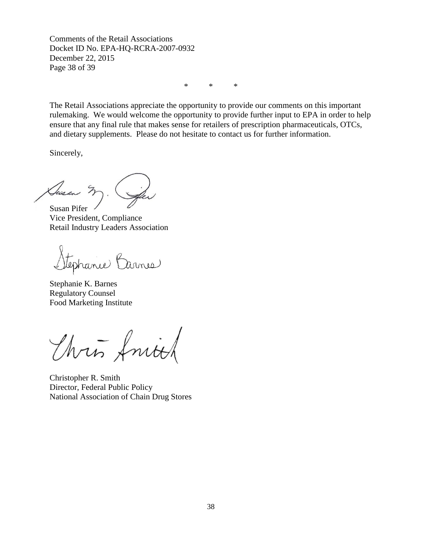Comments of the Retail Associations Docket ID No. EPA-HQ-RCRA-2007-0932 December 22, 2015 Page 38 of 39

\* \* \*

The Retail Associations appreciate the opportunity to provide our comments on this important rulemaking. We would welcome the opportunity to provide further input to EPA in order to help ensure that any final rule that makes sense for retailers of prescription pharmaceuticals, OTCs, and dietary supplements. Please do not hesitate to contact us for further information.

Sincerely,

Ausen Susan Pifer

Vice President, Compliance Retail Industry Leaders Association

tephanie Barnes

Stephanie K. Barnes Regulatory Counsel Food Marketing Institute

Thris fritt

Christopher R. Smith Director, Federal Public Policy National Association of Chain Drug Stores